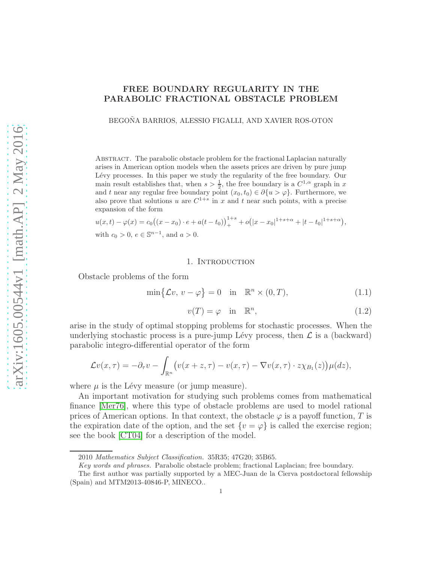# FREE BOUNDARY REGULARITY IN THE PARABOLIC FRACTIONAL OBSTACLE PROBLEM

BEGOÑA BARRIOS, ALESSIO FIGALLI, AND XAVIER ROS-OTON

Abstract. The parabolic obstacle problem for the fractional Laplacian naturally arises in American option models when the assets prices are driven by pure jump Lévy processes. In this paper we study the regularity of the free boundary. Our main result establishes that, when  $s > \frac{1}{2}$ , the free boundary is a  $C^{1,\alpha}$  graph in x and t near any regular free boundary point  $(x_0, t_0) \in \partial \{u > \varphi\}$ . Furthermore, we also prove that solutions u are  $C^{1+s}$  in x and t near such points, with a precise expansion of the form

$$
u(x,t) - \varphi(x) = c_0((x - x_0) \cdot e + a(t - t_0))_{+}^{1+s} + o(|x - x_0|^{1+s+\alpha} + |t - t_0|^{1+s+\alpha}),
$$
  
with  $c_0 > 0, e \in \mathbb{S}^{n-1}$ , and  $a > 0$ .

#### 1. Introduction

Obstacle problems of the form

<span id="page-0-0"></span>
$$
\min\{\mathcal{L}v, v - \varphi\} = 0 \quad \text{in} \quad \mathbb{R}^n \times (0, T), \tag{1.1}
$$

<span id="page-0-1"></span>
$$
v(T) = \varphi \quad \text{in} \quad \mathbb{R}^n,\tag{1.2}
$$

arise in the study of optimal stopping problems for stochastic processes. When the underlying stochastic process is a pure-jump Lévy process, then  $\mathcal L$  is a (backward) parabolic integro-differential operator of the form

$$
\mathcal{L}v(x,\tau) = -\partial_{\tau}v - \int_{\mathbb{R}^n} \big( v(x+z,\tau) - v(x,\tau) - \nabla v(x,\tau) \cdot z \chi_{B_1}(z) \big) \mu(dz),
$$

where  $\mu$  is the Lévy measure (or jump measure).

An important motivation for studying such problems comes from mathematical finance [\[Mer76\]](#page-28-0), where this type of obstacle problems are used to model rational prices of American options. In that context, the obstacle  $\varphi$  is a payoff function, T is the expiration date of the option, and the set  $\{v = \varphi\}$  is called the exercise region; see the book [\[CT04\]](#page-28-1) for a description of the model.

<sup>2010</sup> Mathematics Subject Classification. 35R35; 47G20; 35B65.

Key words and phrases. Parabolic obstacle problem; fractional Laplacian; free boundary.

The first author was partially supported by a MEC-Juan de la Cierva postdoctoral fellowship (Spain) and MTM2013-40846-P, MINECO..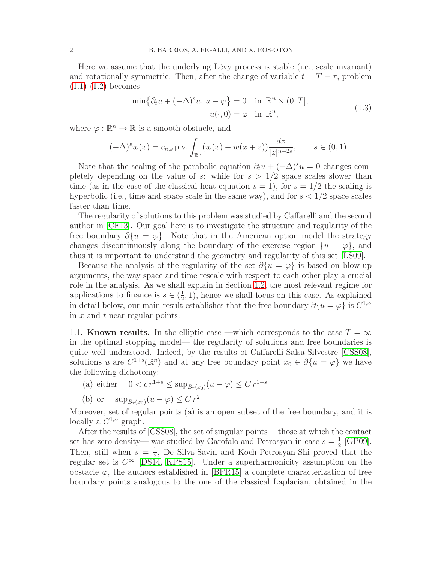Here we assume that the underlying Lévy process is stable (i.e., scale invariant) and rotationally symmetric. Then, after the change of variable  $t = T - \tau$ , problem  $(1.1)-(1.2)$  $(1.1)-(1.2)$  $(1.1)-(1.2)$  becomes

$$
\min\{\partial_t u + (-\Delta)^s u, u - \varphi\} = 0 \quad \text{in } \mathbb{R}^n \times (0, T],
$$
  

$$
u(\cdot, 0) = \varphi \quad \text{in } \mathbb{R}^n,
$$
 (1.3)

<span id="page-1-0"></span>where  $\varphi : \mathbb{R}^n \to \mathbb{R}$  is a smooth obstacle, and

$$
(-\Delta)^s w(x) = c_{n,s} \text{ p.v.} \int_{\mathbb{R}^n} (w(x) - w(x+z)) \frac{dz}{|z|^{n+2s}}, \quad s \in (0,1).
$$

Note that the scaling of the parabolic equation  $\partial_t u + (-\Delta)^s u = 0$  changes completely depending on the value of s: while for  $s > 1/2$  space scales slower than time (as in the case of the classical heat equation  $s = 1$ ), for  $s = 1/2$  the scaling is hyperbolic (i.e., time and space scale in the same way), and for  $s < 1/2$  space scales faster than time.

The regularity of solutions to this problem was studied by Caffarelli and the second author in [\[CF13\]](#page-28-2). Our goal here is to investigate the structure and regularity of the free boundary  $\partial \{u = \varphi\}$ . Note that in the American option model the strategy changes discontinuously along the boundary of the exercise region  $\{u = \varphi\}$ , and thus it is important to understand the geometry and regularity of this set [\[LS09\]](#page-28-3).

Because the analysis of the regularity of the set  $\partial \{u = \varphi\}$  is based on blow-up arguments, the way space and time rescale with respect to each other play a crucial role in the analysis. As we shall explain in Section [1.2,](#page-2-0) the most relevant regime for applications to finance is  $s \in (\frac{1}{2})$  $(\frac{1}{2}, 1)$ , hence we shall focus on this case. As explained in detail below, our main result establishes that the free boundary  $\partial \{u = \varphi\}$  is  $C^{1,\alpha}$ in  $x$  and  $t$  near regular points.

1.1. Known results. In the elliptic case —which corresponds to the case  $T = \infty$ in the optimal stopping model— the regularity of solutions and free boundaries is quite well understood. Indeed, by the results of Caffarelli-Salsa-Silvestre [\[CSS08\]](#page-28-4), solutions u are  $C^{1+s}(\mathbb{R}^n)$  and at any free boundary point  $x_0 \in \partial \{u = \varphi\}$  we have the following dichotomy:

- (a) either  $0 < c r^{1+s} \le \sup_{B_r(x_0)} (u \varphi) \le C r^{1+s}$
- (b) or  $\sup_{B_r(x_0)} (u \varphi) \leq C r^2$

Moreover, set of regular points (a) is an open subset of the free boundary, and it is locally a  $C^{1,\alpha}$  graph.

After the results of [\[CSS08\]](#page-28-4), the set of singular points —those at which the contact set has zero density— was studied by Garofalo and Petrosyan in case  $s=\frac{1}{2}$  $rac{1}{2}$  [\[GP09\]](#page-28-5). Then, still when  $s = \frac{1}{2}$  $\frac{1}{2}$ , De Silva-Savin and Koch-Petrosyan-Shi proved that the regular set is  $C^{\infty}$  [\[DS14,](#page-28-6) [KPS15\]](#page-28-7). Under a superharmonicity assumption on the obstacle  $\varphi$ , the authors established in [\[BFR15\]](#page-27-0) a complete characterization of free boundary points analogous to the one of the classical Laplacian, obtained in the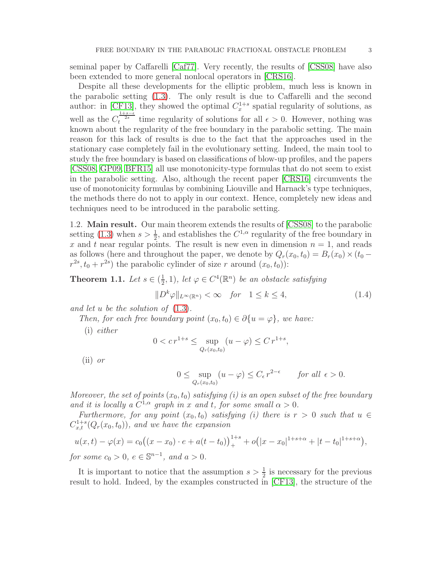seminal paper by Caffarelli [\[Caf77\]](#page-28-8). Very recently, the results of [\[CSS08\]](#page-28-4) have also been extended to more general nonlocal operators in [\[CRS16\]](#page-28-9).

Despite all these developments for the elliptic problem, much less is known in the parabolic setting [\(1.3\)](#page-1-0). The only result is due to Caffarelli and the second author: in [\[CF13\]](#page-28-2), they showed the optimal  $C_x^{1+s}$  spatial regularity of solutions, as well as the  $C_t^{\frac{1+s-\epsilon}{2s}}$  time regularity of solutions for all  $\epsilon > 0$ . However, nothing was known about the regularity of the free boundary in the parabolic setting. The main reason for this lack of results is due to the fact that the approaches used in the stationary case completely fail in the evolutionary setting. Indeed, the main tool to study the free boundary is based on classifications of blow-up profiles, and the papers [\[CSS08,](#page-28-4) [GP09,](#page-28-5) [BFR15\]](#page-27-0) all use monotonicity-type formulas that do not seem to exist in the parabolic setting. Also, although the recent paper [\[CRS16\]](#page-28-9) circumvents the use of monotonicity formulas by combining Liouville and Harnack's type techniques, the methods there do not to apply in our context. Hence, completely new ideas and techniques need to be introduced in the parabolic setting.

<span id="page-2-0"></span>1.2. Main result. Our main theorem extends the results of [\[CSS08\]](#page-28-4) to the parabolic setting [\(1.3\)](#page-1-0) when  $s > \frac{1}{2}$ , and establishes the  $C^{1,\alpha}$  regularity of the free boundary in x and t near regular points. The result is new even in dimension  $n = 1$ , and reads as follows (here and throughout the paper, we denote by  $Q_r(x_0, t_0) = B_r(x_0) \times (t_0$  $r^{2s}, t_0 + r^{2s}$  the parabolic cylinder of size r around  $(x_0, t_0)$ :

<span id="page-2-1"></span>**Theorem 1.1.** *Let*  $s \in (\frac{1}{2})$  $(\frac{1}{2}, 1)$ , let  $\varphi \in C^4(\mathbb{R}^n)$  be an obstacle satisfying

<span id="page-2-2"></span>
$$
||D^k \varphi||_{L^{\infty}(\mathbb{R}^n)} < \infty \quad \text{for} \quad 1 \le k \le 4,
$$
 (1.4)

*and let* u *be the solution of* [\(1.3\)](#page-1-0)*.*

*Then, for each free boundary point*  $(x_0, t_0) \in \partial \{u = \varphi\}$ *, we have:* 

(i) *either*

$$
0 < c r^{1+s} \le \sup_{Q_r(x_0, t_0)} (u - \varphi) \le C r^{1+s},
$$

(ii) *or*

$$
0 \leq \sup_{Q_r(x_0,t_0)} (u - \varphi) \leq C_{\epsilon} r^{2-\epsilon} \quad \text{for all } \epsilon > 0.
$$

*Moreover, the set of points*  $(x_0, t_0)$  *satisfying (i) is an open subset of the free boundary and it is locally a*  $C^{1,\alpha}$  *graph in* x *and* t, for some small  $\alpha > 0$ *.* 

*Furthermore, for any point*  $(x_0, t_0)$  *satisfying (i) there is*  $r > 0$  *such that*  $u \in$  $C_{x,t}^{1+s}(Q_r(x_0,t_0))$ , and we have the expansion

$$
u(x,t) - \varphi(x) = c_0((x - x_0) \cdot e + a(t - t_0))_+^{1+s} + o(|x - x_0|^{1+s+\alpha} + |t - t_0|^{1+s+\alpha}),
$$
  
for some  $c_0 > 0$ ,  $e \in \mathbb{S}^{n-1}$ , and  $a > 0$ .

It is important to notice that the assumption  $s > \frac{1}{2}$  is necessary for the previous result to hold. Indeed, by the examples constructed in [\[CF13\]](#page-28-2), the structure of the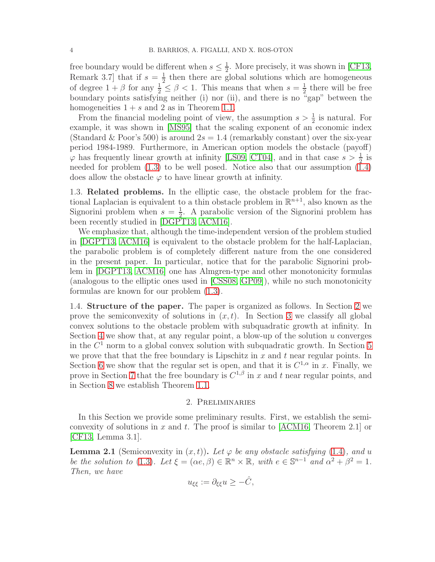free boundary would be different when  $s \leq \frac{1}{2}$  $\frac{1}{2}$ . More precisely, it was shown in [\[CF13,](#page-28-2) Remark 3.7 that if  $s=\frac{1}{2}$  $\frac{1}{2}$  then there are global solutions which are homogeneous of degree  $1 + \beta$  for any  $\frac{1}{2} \leq \beta < 1$ . This means that when  $s = \frac{1}{2}$  $\frac{1}{2}$  there will be free boundary points satisfying neither (i) nor (ii), and there is no "gap" between the homogeneities  $1 + s$  and 2 as in Theorem [1.1.](#page-2-1)

From the financial modeling point of view, the assumption  $s > \frac{1}{2}$  is natural. For example, it was shown in [\[MS95\]](#page-28-10) that the scaling exponent of an economic index (Standard & Poor's 500) is around  $2s = 1.4$  (remarkably constant) over the six-year period 1984-1989. Furthermore, in American option models the obstacle (payoff)  $\varphi$  has frequently linear growth at infinity [\[LS09,](#page-28-3) [CT04\]](#page-28-1), and in that case  $s > \frac{1}{2}$  is needed for problem [\(1.3\)](#page-1-0) to be well posed. Notice also that our assumption [\(1.4\)](#page-2-2) does allow the obstacle  $\varphi$  to have linear growth at infinity.

1.3. Related problems. In the elliptic case, the obstacle problem for the fractional Laplacian is equivalent to a thin obstacle problem in  $\mathbb{R}^{n+1}$ , also known as the Signorini problem when  $s=\frac{1}{2}$  $\frac{1}{2}$ . A parabolic version of the Signorini problem has been recently studied in [\[DGPT13,](#page-28-11) [ACM16\]](#page-27-1).

We emphasize that, although the time-independent version of the problem studied in [\[DGPT13,](#page-28-11) [ACM16\]](#page-27-1) is equivalent to the obstacle problem for the half-Laplacian, the parabolic problem is of completely different nature from the one considered in the present paper. In particular, notice that for the parabolic Signorini problem in [\[DGPT13,](#page-28-11) [ACM16\]](#page-27-1) one has Almgren-type and other monotonicity formulas (analogous to the elliptic ones used in [\[CSS08,](#page-28-4) [GP09\]](#page-28-5)), while no such monotonicity formulas are known for our problem [\(1.3\)](#page-1-0).

1.4. Structure of the paper. The paper is organized as follows. In Section [2](#page-3-0) we prove the semiconvexity of solutions in  $(x, t)$ . In Section [3](#page-5-0) we classify all global convex solutions to the obstacle problem with subquadratic growth at infinity. In Section [4](#page-9-0) we show that, at any regular point, a blow-up of the solution  $u$  converges in the  $C<sup>1</sup>$  norm to a global convex solution with subquadratic growth. In Section [5](#page-13-0) we prove that that the free boundary is Lipschitz in  $x$  and  $t$  near regular points. In Section [6](#page-19-0) we show that the regular set is open, and that it is  $C^{1,\alpha}$  in x. Finally, we prove in Section [7](#page-24-0) that the free boundary is  $C^{1,\beta}$  in x and t near regular points, and in Section [8](#page-27-2) we establish Theorem [1.1.](#page-2-1)

#### 2. Preliminaries

<span id="page-3-0"></span>In this Section we provide some preliminary results. First, we establish the semi-convexity of solutions in x and t. The proof is similar to [\[ACM16,](#page-27-1) Theorem 2.1] or [\[CF13,](#page-28-2) Lemma 3.1].

<span id="page-3-1"></span>**Lemma 2.1** (Semiconvexity in  $(x, t)$ ). Let  $\varphi$  be any obstacle satisfying [\(1.4\)](#page-2-2), and u *be the solution to* [\(1.3\)](#page-1-0)*.* Let  $\xi = (\alpha e, \beta) \in \mathbb{R}^n \times \mathbb{R}$ , with  $e \in \mathbb{S}^{n-1}$  and  $\alpha^2 + \beta^2 = 1$ . *Then, we have*

$$
u_{\xi\xi} := \partial_{\xi\xi} u \ge -\hat{C},
$$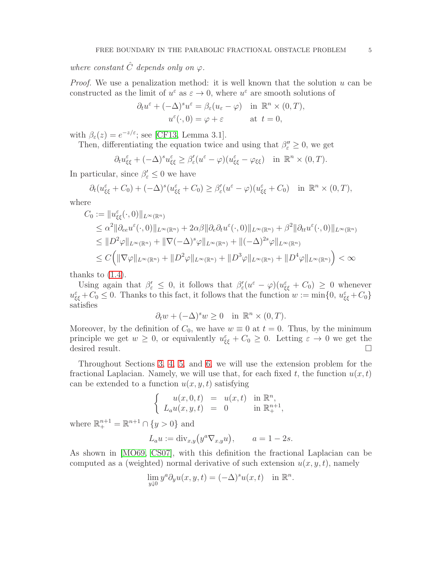*where constant*  $\hat{C}$  *depends only on*  $\varphi$ *.* 

*Proof.* We use a penalization method: it is well known that the solution u can be constructed as the limit of  $u^{\varepsilon}$  as  $\varepsilon \to 0$ , where  $u^{\varepsilon}$  are smooth solutions of

$$
\partial_t u^{\varepsilon} + (-\Delta)^s u^{\varepsilon} = \beta_{\varepsilon} (u_{\varepsilon} - \varphi) \quad \text{in } \mathbb{R}^n \times (0, T),
$$

$$
u^{\varepsilon}(\cdot, 0) = \varphi + \varepsilon \qquad \text{at } t = 0,
$$

with  $\beta_{\varepsilon}(z) = e^{-z/\varepsilon}$ ; see [\[CF13,](#page-28-2) Lemma 3.1].

Then, differentiating the equation twice and using that  $\beta''_{\varepsilon} \geq 0$ , we get

$$
\partial_t u_{\xi\xi}^{\varepsilon} + (-\Delta)^s u_{\xi\xi}^{\varepsilon} \geq \beta_{\varepsilon}'(u^{\varepsilon} - \varphi)(u_{\xi\xi}^{\varepsilon} - \varphi_{\xi\xi}) \quad \text{in } \mathbb{R}^n \times (0, T).
$$

In particular, since  $\beta'_{\varepsilon} \leq 0$  we have

$$
\partial_t (u_{\xi\xi}^{\varepsilon} + C_0) + (-\Delta)^s (u_{\xi\xi}^{\varepsilon} + C_0) \ge \beta_{\varepsilon}' (u^{\varepsilon} - \varphi) (u_{\xi\xi}^{\varepsilon} + C_0) \quad \text{in } \mathbb{R}^n \times (0, T),
$$

where

$$
C_0 := ||u_{\xi\xi}^{\varepsilon}(\cdot,0)||_{L^{\infty}(\mathbb{R}^n)}
$$
  
\n
$$
\leq \alpha^2 ||\partial_{ee}u^{\varepsilon}(\cdot,0)||_{L^{\infty}(\mathbb{R}^n)} + 2\alpha\beta ||\partial_{e}\partial_{t}u^{\varepsilon}(\cdot,0)||_{L^{\infty}(\mathbb{R}^n)} + \beta^2 ||\partial_{tt}u^{\varepsilon}(\cdot,0)||_{L^{\infty}(\mathbb{R}^n)}
$$
  
\n
$$
\leq ||D^2\varphi||_{L^{\infty}(\mathbb{R}^n)} + ||\nabla(-\Delta)^{s}\varphi||_{L^{\infty}(\mathbb{R}^n)} + ||(-\Delta)^{2s}\varphi||_{L^{\infty}(\mathbb{R}^n)}
$$
  
\n
$$
\leq C\Big(||\nabla\varphi||_{L^{\infty}(\mathbb{R}^n)} + ||D^2\varphi||_{L^{\infty}(\mathbb{R}^n)} + ||D^3\varphi||_{L^{\infty}(\mathbb{R}^n)} + ||D^4\varphi||_{L^{\infty}(\mathbb{R}^n)}\Big) < \infty
$$

thanks to  $(1.4)$ .

Using again that  $\beta'_{\varepsilon} \leq 0$ , it follows that  $\beta'_{\varepsilon}(u^{\varepsilon} - \varphi)(u^{\varepsilon}_{\xi \xi} + C_0) \geq 0$  whenever  $u_{\xi\xi}^{\varepsilon} + C_0 \leq 0$ . Thanks to this fact, it follows that the function  $w := \min\{0, u_{\xi\xi}^{\varepsilon} + C_0\}$ satisfies

$$
\partial_t w + (-\Delta)^s w \ge 0 \quad \text{in } \mathbb{R}^n \times (0, T).
$$

Moreover, by the definition of  $C_0$ , we have  $w \equiv 0$  at  $t = 0$ . Thus, by the minimum principle we get  $w \geq 0$ , or equivalently  $u_{\xi\xi}^{\varepsilon} + C_0 \geq 0$ . Letting  $\varepsilon \to 0$  we get the desired result.

Throughout Sections [3,](#page-5-0) [4,](#page-9-0) [5,](#page-13-0) and [6,](#page-19-0) we will use the extension problem for the fractional Laplacian. Namely, we will use that, for each fixed t, the function  $u(x, t)$ can be extended to a function  $u(x, y, t)$  satisfying

$$
\begin{cases}\n u(x, 0, t) = u(x, t) & \text{in } \mathbb{R}^n, \\
 L_a u(x, y, t) = 0 & \text{in } \mathbb{R}^{n+1}_+, \n\end{cases}
$$

where  $\mathbb{R}^{n+1}_{+} = \mathbb{R}^{n+1} \cap \{y > 0\}$  and

$$
L_a u := \text{div}_{x,y} (y^a \nabla_{x,y} u), \qquad a = 1 - 2s.
$$

As shown in [\[MO69,](#page-28-12) [CS07\]](#page-28-13), with this definition the fractional Laplacian can be computed as a (weighted) normal derivative of such extension  $u(x, y, t)$ , namely

$$
\lim_{y \downarrow 0} y^a \partial_y u(x, y, t) = (-\Delta)^s u(x, t) \quad \text{in } \mathbb{R}^n.
$$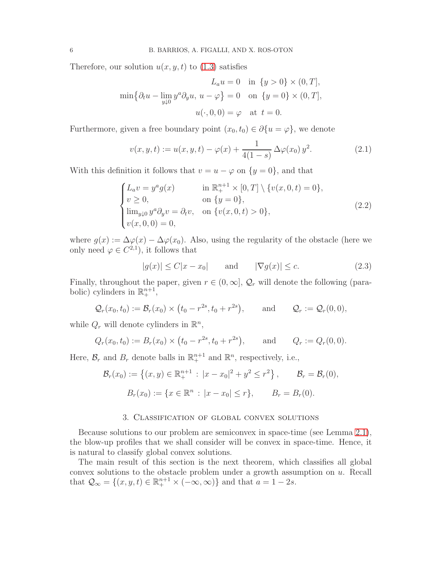Therefore, our solution  $u(x, y, t)$  to  $(1.3)$  satisfies

$$
L_a u = 0 \quad \text{in } \{y > 0\} \times (0, T],
$$
  

$$
\min \{ \partial_t u - \lim_{y \downarrow 0} y^a \partial_y u, u - \varphi \} = 0 \quad \text{on } \{y = 0\} \times (0, T],
$$
  

$$
u(\cdot, 0, 0) = \varphi \quad \text{at } t = 0.
$$

Furthermore, given a free boundary point  $(x_0, t_0) \in \partial \{u = \varphi\}$ , we denote

<span id="page-5-1"></span>
$$
v(x, y, t) := u(x, y, t) - \varphi(x) + \frac{1}{4(1 - s)} \Delta \varphi(x_0) y^2.
$$
 (2.1)

With this definition it follows that  $v = u - \varphi$  on  $\{y = 0\}$ , and that

<span id="page-5-2"></span>
$$
\begin{cases}\nL_a v = y^a g(x) & \text{in } \mathbb{R}_+^{n+1} \times [0, T] \setminus \{v(x, 0, t) = 0\}, \\
v \ge 0, & \text{on } \{y = 0\}, \\
\lim_{y \downarrow 0} y^a \partial_y v = \partial_t v, & \text{on } \{v(x, 0, t) > 0\}, \\
v(x, 0, 0) = 0,\n\end{cases}
$$
\n(2.2)

where  $g(x) := \Delta \varphi(x) - \Delta \varphi(x_0)$ . Also, using the regularity of the obstacle (here we only need  $\varphi \in C^{2,1}$ , it follows that

<span id="page-5-3"></span>
$$
|g(x)| \le C|x - x_0| \quad \text{and} \quad |\nabla g(x)| \le c. \tag{2.3}
$$

Finally, throughout the paper, given  $r \in (0, \infty]$ ,  $\mathcal{Q}_r$  will denote the following (parabolic) cylinders in  $\mathbb{R}^{n+1}_+$ ,

$$
\mathcal{Q}_r(x_0,t_0) := \mathcal{B}_r(x_0) \times (t_0 - r^{2s}, t_0 + r^{2s}), \quad \text{and} \quad \mathcal{Q}_r := \mathcal{Q}_r(0,0),
$$

while  $Q_r$  will denote cylinders in  $\mathbb{R}^n$ ,

$$
Q_r(x_0, t_0) := B_r(x_0) \times (t_0 - r^{2s}, t_0 + r^{2s}),
$$
 and  $Q_r := Q_r(0, 0).$ 

Here,  $\mathcal{B}_r$  and  $B_r$  denote balls in  $\mathbb{R}^{n+1}_+$  and  $\mathbb{R}^n$ , respectively, i.e.,

$$
\mathcal{B}_r(x_0) := \left\{ (x, y) \in \mathbb{R}^{n+1}_+ : |x - x_0|^2 + y^2 \le r^2 \right\}, \qquad \mathcal{B}_r = \mathcal{B}_r(0),
$$

$$
B_r(x_0) := \left\{ x \in \mathbb{R}^n : |x - x_0| \le r \right\}, \qquad B_r = B_r(0).
$$

## 3. Classification of global convex solutions

<span id="page-5-0"></span>Because solutions to our problem are semiconvex in space-time (see Lemma [2.1\)](#page-3-1), the blow-up profiles that we shall consider will be convex in space-time. Hence, it is natural to classify global convex solutions.

The main result of this section is the next theorem, which classifies all global convex solutions to the obstacle problem under a growth assumption on  $u$ . Recall that  $\mathcal{Q}_{\infty} = \{(x, y, t) \in \mathbb{R}^{n+1}_+ \times (-\infty, \infty)\}\$ and that  $a = 1 - 2s$ .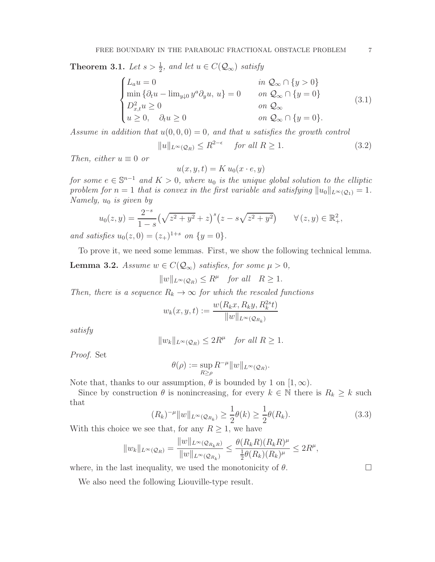<span id="page-6-0"></span>**Theorem 3.1.** *Let*  $s > \frac{1}{2}$ *, and let*  $u \in C(Q_\infty)$  *satisfy* 

<span id="page-6-2"></span>
$$
\begin{cases}\nL_a u = 0 & \text{in } \mathcal{Q}_{\infty} \cap \{y > 0\} \\
\min \{\partial_t u - \lim_{y \downarrow 0} y^a \partial_y u, u\} = 0 & \text{on } \mathcal{Q}_{\infty} \cap \{y = 0\} \\
D_{x,t}^2 u \ge 0 & \text{on } \mathcal{Q}_{\infty} \\
u \ge 0, \quad \partial_t u \ge 0 & \text{on } \mathcal{Q}_{\infty} \cap \{y = 0\}.\n\end{cases}
$$
\n(3.1)

*Assume in addition that*  $u(0, 0, 0) = 0$ *, and that* u *satisfies the growth control* 

<span id="page-6-3"></span>
$$
||u||_{L^{\infty}(\mathcal{Q}_R)} \le R^{2-\epsilon} \quad \text{for all } R \ge 1.
$$
 (3.2)

*Then, either*  $u \equiv 0$  *or* 

$$
u(x, y, t) = K u_0(x \cdot e, y)
$$

*for some*  $e \in \mathbb{S}^{n-1}$  *and*  $K > 0$ *, where*  $u_0$  *is the unique global solution to the elliptic problem for*  $n = 1$  *that is convex in the first variable and satisfying*  $||u_0||_{L^{\infty}(\mathcal{Q}_1)} = 1$ *. Namely,*  $u_0$  *is given by* 

$$
u_0(z, y) = \frac{2^{-s}}{1 - s} \left(\sqrt{z^2 + y^2} + z\right)^s \left(z - s\sqrt{z^2 + y^2}\right) \qquad \forall (z, y) \in \mathbb{R}^2_+,
$$
  
is f.e.,  $u(x, 0) = (x, 1)^{1+s}$ , or  $[u, 0]$ 

*and satisfies*  $u_0(z, 0) = (z_+)^{1+s}$  *on*  $\{y = 0\}.$ 

To prove it, we need some lemmas. First, we show the following technical lemma.

<span id="page-6-1"></span>**Lemma 3.2.** *Assume*  $w \in C(Q_\infty)$  *satisfies, for some*  $\mu > 0$ *,* 

$$
||w||_{L^{\infty}(\mathcal{Q}_R)} \le R^{\mu} \quad \text{for all} \quad R \ge 1.
$$

*Then, there is a sequence*  $R_k \to \infty$  *for which the rescaled functions* 

$$
w_k(x, y, t) := \frac{w(R_k x, R_k y, R_k^{2s} t)}{\|w\|_{L^{\infty}(\mathcal{Q}_{R_k})}}
$$

*satisfy*

$$
||w_k||_{L^{\infty}(\mathcal{Q}_R)} \le 2R^{\mu} \quad \text{for all } R \ge 1.
$$

*Proof.* Set

$$
\theta(\rho) := \sup_{R \ge \rho} R^{-\mu} ||w||_{L^{\infty}(\mathcal{Q}_R)}.
$$

Note that, thanks to our assumption,  $\theta$  is bounded by 1 on [1,  $\infty$ ).

Since by construction  $\theta$  is nonincreasing, for every  $k \in \mathbb{N}$  there is  $R_k \geq k$  such that

$$
(R_k)^{-\mu} \|w\|_{L^{\infty}(\mathcal{Q}_{R_k})} \ge \frac{1}{2}\theta(k) \ge \frac{1}{2}\theta(R_k).
$$
\n(3.3)

With this choice we see that, for any  $R \geq 1$ , we have

$$
||w_k||_{L^{\infty}(\mathcal{Q}_R)} = \frac{||w||_{L^{\infty}(\mathcal{Q}_{R_kR})}}{||w||_{L^{\infty}(\mathcal{Q}_{R_k})}} \leq \frac{\theta(R_kR)(R_kR)^{\mu}}{\frac{1}{2}\theta(R_k)(R_k)^{\mu}} \leq 2R^{\mu},
$$

where, in the last inequality, we used the monotonicity of  $\theta$ .

We also need the following Liouville-type result.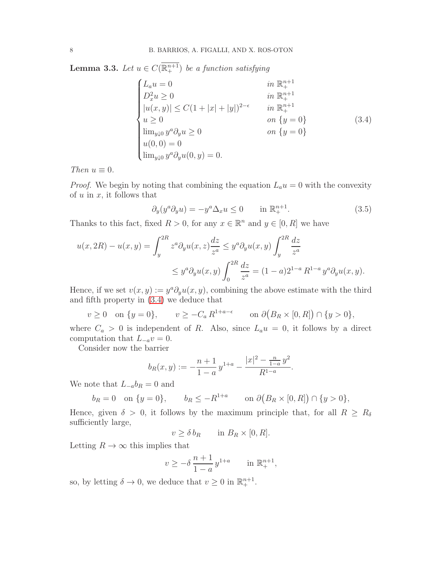<span id="page-7-2"></span>**Lemma 3.3.** *Let*  $u \in C(\overline{\mathbb{R}^{n+1}_+})$  *be a function satisfying* 

<span id="page-7-0"></span>
$$
\begin{cases}\nL_a u = 0 & \text{in } \mathbb{R}^{n+1} \\
D_x^2 u \ge 0 & \text{in } \mathbb{R}^{n+1} \\
|u(x, y)| \le C(1 + |x| + |y|)^{2-\epsilon} & \text{in } \mathbb{R}^{n+1} \\
u \ge 0 & \text{on } \{y = 0\} \\
\lim_{y \downarrow 0} y^a \partial_y u \ge 0 & \text{on } \{y = 0\} \\
u(0, 0) = 0 \\
\lim_{y \downarrow 0} y^a \partial_y u(0, y) = 0.\n\end{cases}
$$
\n(3.4)

*Then*  $u \equiv 0$ *.* 

*Proof.* We begin by noting that combining the equation  $L_a u = 0$  with the convexity of  $u$  in  $x$ , it follows that

<span id="page-7-1"></span>
$$
\partial_y(y^a \partial_y u) = -y^a \Delta_x u \le 0 \qquad \text{in } \mathbb{R}_+^{n+1}.
$$
 (3.5)

Thanks to this fact, fixed  $R > 0$ , for any  $x \in \mathbb{R}^n$  and  $y \in [0, R]$  we have

$$
u(x, 2R) - u(x, y) = \int_{y}^{2R} z^{a} \partial_{y} u(x, z) \frac{dz}{z^{a}} \leq y^{a} \partial_{y} u(x, y) \int_{y}^{2R} \frac{dz}{z^{a}}
$$
  

$$
\leq y^{a} \partial_{y} u(x, y) \int_{0}^{2R} \frac{dz}{z^{a}} = (1 - a)2^{1 - a} R^{1 - a} y^{a} \partial_{y} u(x, y).
$$

Hence, if we set  $v(x, y) := y^a \partial_y u(x, y)$ , combining the above estimate with the third and fifth property in [\(3.4\)](#page-7-0) we deduce that

$$
v \ge 0 \quad \text{on } \{y = 0\}, \qquad v \ge -C_a R^{1+a-\epsilon} \qquad \text{on } \partial(B_R \times [0,R]) \cap \{y > 0\},
$$

where  $C_a > 0$  is independent of R. Also, since  $L_a u = 0$ , it follows by a direct computation that  $L_{-a}v = 0$ .

Consider now the barrier

$$
b_R(x,y) := -\frac{n+1}{1-a}y^{1+a} - \frac{|x|^2 - \frac{n}{1-a}y^2}{R^{1-a}}.
$$

We note that  $L_{-a}b_R = 0$  and

$$
b_R = 0
$$
 on  $\{y = 0\}$ ,  $b_R \le -R^{1+a}$  on  $\partial (B_R \times [0, R]) \cap \{y > 0\}$ ,

Hence, given  $\delta > 0$ , it follows by the maximum principle that, for all  $R \geq R_{\delta}$ sufficiently large,

 $v \geq \delta b_R$  in  $B_R \times [0, R]$ .

Letting  $R\to\infty$  this implies that

$$
v \ge -\delta \frac{n+1}{1-a} y^{1+a}
$$
 in  $\mathbb{R}^{n+1}_+$ ,

so, by letting  $\delta \to 0$ , we deduce that  $v \ge 0$  in  $\mathbb{R}^{n+1}_+$ .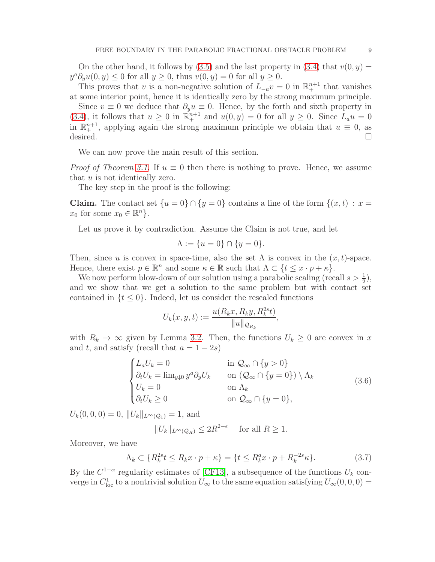On the other hand, it follows by [\(3.5\)](#page-7-1) and the last property in [\(3.4\)](#page-7-0) that  $v(0, y) =$  $y^a \partial_y u(0, y) \leq 0$  for all  $y \geq 0$ , thus  $v(0, y) = 0$  for all  $y \geq 0$ .

This proves that v is a non-negative solution of  $L_{-a}v = 0$  in  $\mathbb{R}^{n+1}_+$  that vanishes at some interior point, hence it is identically zero by the strong maximum principle.

Since  $v \equiv 0$  we deduce that  $\partial_y u \equiv 0$ . Hence, by the forth and sixth property in [\(3.4\)](#page-7-0), it follows that  $u \ge 0$  in  $\mathbb{R}^{n+1}$  and  $u(0, y) = 0$  for all  $y \ge 0$ . Since  $L_a u = 0$ in  $\mathbb{R}^{n+1}_+$ , applying again the strong maximum principle we obtain that  $u \equiv 0$ , as desired.

We can now prove the main result of this section.

*Proof of Theorem [3.1.](#page-6-0)* If  $u \equiv 0$  then there is nothing to prove. Hence, we assume that  $u$  is not identically zero.

The key step in the proof is the following:

Claim. The contact set  $\{u=0\} \cap \{y=0\}$  contains a line of the form  $\{(x,t) : x=$  $x_0$  for some  $x_0 \in \mathbb{R}^n$ .

Let us prove it by contradiction. Assume the Claim is not true, and let

$$
\Lambda := \{ u = 0 \} \cap \{ y = 0 \}.
$$

Then, since u is convex in space-time, also the set  $\Lambda$  is convex in the  $(x, t)$ -space. Hence, there exist  $p \in \mathbb{R}^n$  and some  $\kappa \in \mathbb{R}$  such that  $\Lambda \subset \{t \leq x \cdot p + \kappa\}.$ 

We now perform blow-down of our solution using a parabolic scaling (recall  $s > \frac{1}{2}$ ), and we show that we get a solution to the same problem but with contact set contained in  $\{t \leq 0\}$ . Indeed, let us consider the rescaled functions

$$
U_k(x, y, t) := \frac{u(R_k x, R_k y, R_k^{2s} t)}{\|u\|_{\mathcal{Q}_{R_k}}},
$$

with  $R_k \to \infty$  given by Lemma [3.2.](#page-6-1) Then, the functions  $U_k \geq 0$  are convex in x and t, and satisfy (recall that  $a = 1 - 2s$ )

<span id="page-8-1"></span>
$$
\begin{cases}\nL_a U_k = 0 & \text{in } \mathcal{Q}_{\infty} \cap \{y > 0\} \\
\partial_t U_k = \lim_{y \downarrow 0} y^a \partial_y U_k & \text{on } (\mathcal{Q}_{\infty} \cap \{y = 0\}) \setminus \Lambda_k \\
U_k = 0 & \text{on } \Lambda_k \\
\partial_t U_k \ge 0 & \text{on } \mathcal{Q}_{\infty} \cap \{y = 0\},\n\end{cases}
$$
\n(3.6)

 $U_k(0, 0, 0) = 0, ||U_k||_{L^{\infty}(\mathcal{O}_1)} = 1$ , and

$$
||U_k||_{L^{\infty}(\mathcal{Q}_R)} \le 2R^{2-\epsilon} \quad \text{ for all } R \ge 1.
$$

Moreover, we have

<span id="page-8-0"></span>
$$
\Lambda_k \subset \{ R_k^{2s} t \le R_k x \cdot p + \kappa \} = \{ t \le R_k^a x \cdot p + R_k^{-2s} \kappa \}. \tag{3.7}
$$

By the  $C^{1+\alpha}$  regularity estimates of [\[CF13\]](#page-28-2), a subsequence of the functions  $U_k$  converge in  $C^1_{loc}$  to a nontrivial solution  $U_{\infty}$  to the same equation satisfying  $U_{\infty}(0,0,0) =$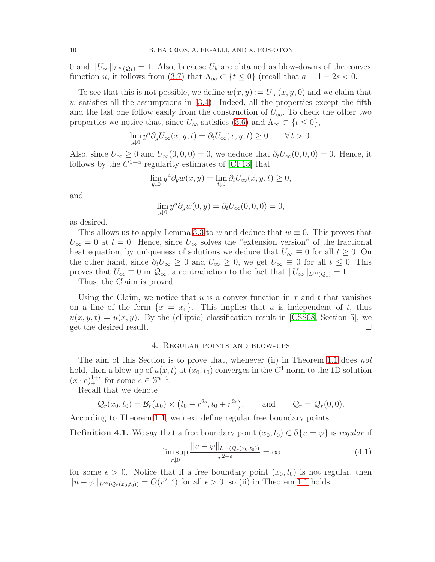0 and  $||U_{\infty}||_{L^{\infty}(\mathcal{Q}_1)} = 1$ . Also, because  $U_k$  are obtained as blow-downs of the convex function u, it follows from [\(3.7\)](#page-8-0) that  $\Lambda_{\infty} \subset \{t \leq 0\}$  (recall that  $a = 1 - 2s < 0$ .

To see that this is not possible, we define  $w(x, y) := U_{\infty}(x, y, 0)$  and we claim that  $w$  satisfies all the assumptions in  $(3.4)$ . Indeed, all the properties except the fifth and the last one follow easily from the construction of  $U_{\infty}$ . To check the other two properties we notice that, since  $U_{\infty}$  satisfies [\(3.6\)](#page-8-1) and  $\Lambda_{\infty} \subset \{t \leq 0\},$ 

$$
\lim_{y \downarrow 0} y^a \partial_y U_{\infty}(x, y, t) = \partial_t U_{\infty}(x, y, t) \ge 0 \qquad \forall \, t > 0.
$$

Also, since  $U_{\infty} \geq 0$  and  $U_{\infty}(0,0,0) = 0$ , we deduce that  $\partial_t U_{\infty}(0,0,0) = 0$ . Hence, it follows by the  $C^{1+\alpha}$  regularity estimates of [\[CF13\]](#page-28-2) that

$$
\lim_{y \downarrow 0} y^a \partial_y w(x, y) = \lim_{t \downarrow 0} \partial_t U_\infty(x, y, t) \ge 0,
$$

and

$$
\lim_{y \downarrow 0} y^a \partial_y w(0, y) = \partial_t U_\infty(0, 0, 0) = 0,
$$

as desired.

This allows us to apply Lemma [3.3](#page-7-2) to w and deduce that  $w \equiv 0$ . This proves that  $U_{\infty} = 0$  at  $t = 0$ . Hence, since  $U_{\infty}$  solves the "extension version" of the fractional heat equation, by uniqueness of solutions we deduce that  $U_{\infty} \equiv 0$  for all  $t \geq 0$ . On the other hand, since  $\partial_t U_{\infty} \geq 0$  and  $U_{\infty} \geq 0$ , we get  $U_{\infty} \equiv 0$  for all  $t \leq 0$ . This proves that  $U_{\infty} \equiv 0$  in  $\mathcal{Q}_{\infty}$ , a contradiction to the fact that  $||U_{\infty}||_{L^{\infty}(\mathcal{Q}_{1})} = 1$ . Thus, the Claim is proved.

Using the Claim, we notice that u is a convex function in x and t that vanishes on a line of the form  $\{x = x_0\}$ . This implies that u is independent of t, thus  $u(x, y, t) = u(x, y)$ . By the (elliptic) classification result in [\[CSS08,](#page-28-4) Section 5], we get the desired result.

## 4. Regular points and blow-ups

<span id="page-9-0"></span>The aim of this Section is to prove that, whenever (ii) in Theorem [1.1](#page-2-1) does *not* hold, then a blow-up of  $u(x, t)$  at  $(x_0, t_0)$  converges in the  $C^1$  norm to the 1D solution  $(x \cdot e)^{1+s}_{+}$  for some  $e \in \mathbb{S}^{n-1}$ .

Recall that we denote

 $Q_r(x_0, t_0) = \mathcal{B}_r(x_0) \times (t_0 - r^{2s}, t_0 + r^{2s})$ and  $\mathcal{Q}_r = \mathcal{Q}_r(0,0).$ 

According to Theorem [1.1,](#page-2-1) we next define regular free boundary points.

**Definition 4.1.** We say that a free boundary point  $(x_0, t_0) \in \partial \{u = \varphi\}$  is *regular* if

$$
\limsup_{r \downarrow 0} \frac{\|u - \varphi\|_{L^{\infty}(\mathcal{Q}_r(x_0, t_0))}}{r^{2-\epsilon}} = \infty
$$
\n(4.1)

for some  $\epsilon > 0$ . Notice that if a free boundary point  $(x_0, t_0)$  is not regular, then  $||u - \varphi||_{L^{\infty}(\mathcal{Q}_r(x_0, t_0))} = O(r^{2-\epsilon})$  for all  $\epsilon > 0$ , so (ii) in Theorem [1.1](#page-2-1) holds.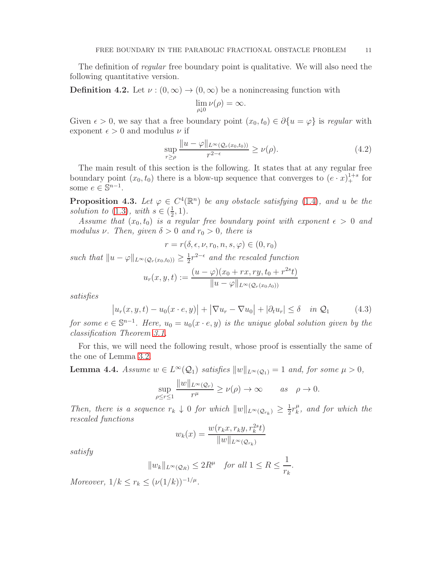The definition of *regular* free boundary point is qualitative. We will also need the following quantitative version.

**Definition 4.2.** Let  $\nu$  :  $(0, \infty) \rightarrow (0, \infty)$  be a nonincreasing function with

$$
\lim_{\rho \downarrow 0} \nu(\rho) = \infty.
$$

Given  $\epsilon > 0$ , we say that a free boundary point  $(x_0, t_0) \in \partial \{u = \varphi\}$  is *regular* with exponent  $\epsilon > 0$  and modulus  $\nu$  if

$$
\sup_{r\geq\rho} \frac{\|u-\varphi\|_{L^{\infty}(\mathcal{Q}_r(x_0,t_0))}}{r^{2-\epsilon}} \geq \nu(\rho). \tag{4.2}
$$

The main result of this section is the following. It states that at any regular free boundary point  $(x_0, t_0)$  there is a blow-up sequence that converges to  $(e \cdot x)_+^{1+s}$  for some  $e \in \mathbb{S}^{n-1}$ .

<span id="page-10-0"></span>**Proposition 4.3.** Let  $\varphi \in C^4(\mathbb{R}^n)$  be any obstacle satisfying [\(1.4\)](#page-2-2), and u be the *solution to* [\(1.3\)](#page-1-0), with  $s \in (\frac{1}{2})$  $\frac{1}{2}, 1$ .

*Assume that*  $(x_0, t_0)$  *is a regular free boundary point with exponent*  $\epsilon > 0$  *and modulus*  $\nu$ *. Then, given*  $\delta > 0$  *and*  $r_0 > 0$ *, there is* 

$$
r = r(\delta, \epsilon, \nu, r_0, n, s, \varphi) \in (0, r_0)
$$

*such that*  $||u - \varphi||_{L^{\infty}(\mathcal{Q}_r(x_0,t_0))} \geq \frac{1}{2}$  $\frac{1}{2}r^{2-\epsilon}$  and the rescaled function

$$
u_r(x, y, t) := \frac{(u - \varphi)(x_0 + rx, ry, t_0 + r^{2s}t)}{\|u - \varphi\|_{L^{\infty}(\mathcal{Q}_r(x_0, t_0))}}
$$

*satisfies*

$$
\left| u_r(x, y, t) - u_0(x \cdot e, y) \right| + \left| \nabla u_r - \nabla u_0 \right| + \left| \partial_t u_r \right| \le \delta \quad \text{in } \mathcal{Q}_1 \tag{4.3}
$$

*for some*  $e \in \mathbb{S}^{n-1}$ *. Here,*  $u_0 = u_0(x \cdot e, y)$  *is the unique global solution given by the classification Theorem [3.1.](#page-6-0)*

For this, we will need the following result, whose proof is essentially the same of the one of Lemma [3.2.](#page-6-1)

<span id="page-10-1"></span>**Lemma 4.4.** *Assume*  $w \in L^{\infty}(\mathcal{Q}_1)$  *satisfies*  $||w||_{L^{\infty}(\mathcal{Q}_1)} = 1$  *and, for some*  $\mu > 0$ *,* 

$$
\sup_{\rho \le r \le 1} \frac{\|w\|_{L^{\infty}(\mathcal{Q}_r)}}{r^{\mu}} \ge \nu(\rho) \to \infty \quad as \quad \rho \to 0.
$$

*Then, there is a sequence*  $r_k \downarrow 0$  *for which*  $||w||_{L^{\infty}(\mathcal{Q}_{r_k})} \geq \frac{1}{2}$  $rac{1}{2}r_k^{\mu}$  $\frac{\mu}{k}$ *, and for which the rescaled functions*

$$
w_k(x) = \frac{w(r_k x, r_k y, r_k^{2s} t)}{\|w\|_{L^{\infty}(\mathcal{Q}_{r_k})}}
$$

*satisfy*

$$
||w_k||_{L^{\infty}(\mathcal{Q}_R)} \le 2R^{\mu} \quad \text{for all } 1 \le R \le \frac{1}{r_k}.
$$

*Moreover,*  $1/k \le r_k \le (\nu(1/k))^{-1/\mu}$ .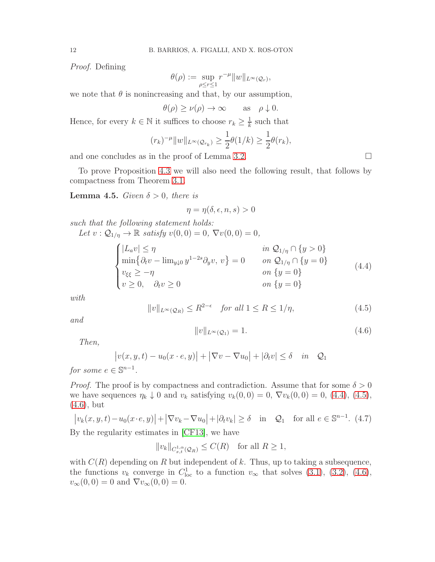*Proof.* Defining

$$
\theta(\rho) := \sup_{\rho \le r \le 1} r^{-\mu} ||w||_{L^{\infty}(\mathcal{Q}_r)},
$$

we note that  $\theta$  is nonincreasing and that, by our assumption,

$$
\theta(\rho) \ge \nu(\rho) \to \infty \quad \text{as} \quad \rho \downarrow 0.
$$

Hence, for every  $k \in \mathbb{N}$  it suffices to choose  $r_k \geq \frac{1}{k}$  $\frac{1}{k}$  such that

$$
(r_k)^{-\mu} ||w||_{L^{\infty}(\mathcal{Q}_{r_k})} \geq \frac{1}{2} \theta(1/k) \geq \frac{1}{2} \theta(r_k),
$$

and one concludes as in the proof of Lemma [3.2.](#page-6-1)  $\Box$ 

To prove Proposition [4.3](#page-10-0) we will also need the following result, that follows by compactness from Theorem [3.1.](#page-6-0)

<span id="page-11-4"></span>**Lemma 4.5.** *Given*  $\delta > 0$ *, there is* 

$$
\eta = \eta(\delta, \epsilon, n, s) > 0
$$

*such that the following statement holds: Let*  $v : Q_{1/\eta} \to \mathbb{R}$  *satisfy*  $v(0, 0) = 0$ ,  $\nabla v(0, 0) = 0$ ,

<span id="page-11-0"></span>
$$
\begin{cases}\n|L_a v| \le \eta & \text{in } \mathcal{Q}_{1/\eta} \cap \{y > 0\} \\
\min \{\partial_t v - \lim_{y \downarrow 0} y^{1-2s} \partial_y v, v\} = 0 & \text{on } \mathcal{Q}_{1/\eta} \cap \{y = 0\} \\
v_{\xi\xi} \ge -\eta & \text{on } \{y = 0\} \\
v \ge 0, \quad \partial_t v \ge 0 & \text{on } \{y = 0\}\n\end{cases}
$$
\n(4.4)

*with*

<span id="page-11-1"></span>
$$
||v||_{L^{\infty}(\mathcal{Q}_R)} \le R^{2-\epsilon} \quad \text{for all } 1 \le R \le 1/\eta,
$$
\n
$$
(4.5)
$$

*and*

<span id="page-11-2"></span>
$$
||v||_{L^{\infty}(\mathcal{Q}_1)} = 1.
$$
\n(4.6)

*Then,*

$$
|v(x, y, t) - u_0(x \cdot e, y)| + |\nabla v - \nabla u_0| + |\partial_t v| \le \delta \quad in \quad \mathcal{Q}_1
$$

*for some*  $e \in \mathbb{S}^{n-1}$ *.* 

*Proof.* The proof is by compactness and contradiction. Assume that for some  $\delta > 0$ we have sequences  $\eta_k \downarrow 0$  and  $v_k$  satisfying  $v_k(0, 0) = 0$ ,  $\nabla v_k(0, 0) = 0$ , [\(4.4\)](#page-11-0), [\(4.5\)](#page-11-1), [\(4.6\)](#page-11-2), but

<span id="page-11-3"></span>
$$
\left| v_k(x, y, t) - u_0(x \cdot e, y) \right| + \left| \nabla v_k - \nabla u_0 \right| + \left| \partial_t v_k \right| \ge \delta \quad \text{in} \quad \mathcal{Q}_1 \quad \text{for all } e \in \mathbb{S}^{n-1}. \tag{4.7}
$$

By the regularity estimates in [\[CF13\]](#page-28-2), we have

$$
||v_k||_{C_{x,t}^{1,\alpha}(\mathcal{Q}_R)} \leq C(R) \quad \text{for all } R \geq 1,
$$

with  $C(R)$  depending on R but independent of k. Thus, up to taking a subsequence, the functions  $v_k$  converge in  $C^1_{loc}$  to a function  $v_\infty$  that solves [\(3.1\)](#page-6-2), [\(3.2\)](#page-6-3), [\(4.6\)](#page-11-2),  $v_{\infty}(0, 0) = 0$  and  $\nabla v_{\infty}(0, 0) = 0$ .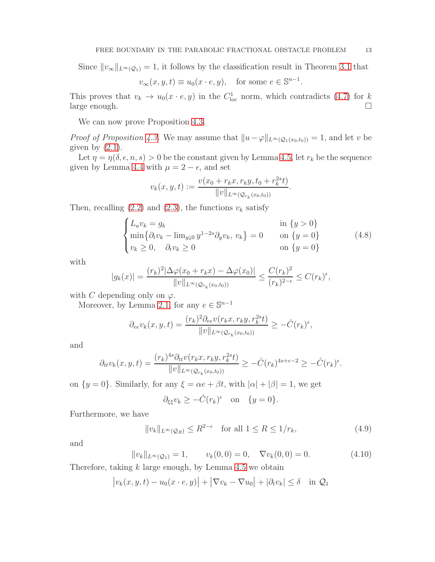Since  $||v_\infty||_{L^\infty(Q_1)} = 1$ , it follows by the classification result in Theorem [3.1](#page-6-0) that

$$
v_{\infty}(x, y, t) \equiv u_0(x \cdot e, y)
$$
, for some  $e \in \mathbb{S}^{n-1}$ .

This proves that  $v_k \to u_0(x \cdot e, y)$  in the  $C^1_{loc}$  norm, which contradicts [\(4.7\)](#page-11-3) for  $k$ large enough.

We can now prove Proposition [4.3.](#page-10-0)

*Proof of Proposition [4.3.](#page-10-0)* We may assume that  $||u-\varphi||_{L^{\infty}(\mathcal{Q}_{1}(x_{0},t_{0}))} = 1$ , and let v be given by  $(2.1)$ .

Let  $\eta = \eta(\delta, \epsilon, n, s) > 0$  be the constant given by Lemma [4.5,](#page-11-4) let  $r_k$  be the sequence given by Lemma [4.4](#page-10-1) with  $\mu = 2 - \epsilon$ , and set

$$
v_k(x, y, t) := \frac{v(x_0 + r_k x, r_k y, t_0 + r_k^{2s} t)}{\|v\|_{L^{\infty}(\mathcal{Q}_{r_k}(x_0, t_0))}}.
$$

Then, recalling  $(2.2)$  and  $(2.3)$ , the functions  $v_k$  satisfy

$$
\begin{cases}\nL_a v_k = g_k & \text{in } \{y > 0\} \\
\min \{\partial_t v_k - \lim_{y \downarrow 0} y^{1-2s} \partial_y v_k, v_k\} = 0 & \text{on } \{y = 0\} \\
v_k \ge 0, \quad \partial_t v_k \ge 0 & \text{on } \{y = 0\}\n\end{cases}
$$
\n(4.8)

with

$$
|g_k(x)| = \frac{(r_k)^2 |\Delta \varphi(x_0 + r_k x) - \Delta \varphi(x_0)|}{\|v\|_{L^{\infty}(\mathcal{Q}_{r_k}(x_0, t_0))}} \leq \frac{C(r_k)^2}{(r_k)^{2-\epsilon}} \leq C(r_k)^{\epsilon},
$$

with C depending only on  $\varphi$ .

Moreover, by Lemma [2.1,](#page-3-1) for any  $e \in \mathbb{S}^{n-1}$ 

$$
\partial_{ee}v_k(x,y,t) = \frac{(r_k)^2 \partial_{ee}v(r_kx, r_ky, r_k^{2s}t)}{\|v\|_{L^{\infty}(\mathcal{Q}_{r_k}(x_0,t_0))}} \geq -\hat{C}(r_k)^{\epsilon},
$$

and

$$
\partial_{tt}v_k(x,y,t) = \frac{(r_k)^{4s}\partial_{tt}v(r_kx,r_ky,r_k^{2s}t)}{\|v\|_{L^{\infty}(\mathcal{Q}_{r_k}(x_0,t_0))}} \geq -\hat{C}(r_k)^{4s+\epsilon-2} \geq -\hat{C}(r_k)^{\epsilon}.
$$

on  $\{y = 0\}$ . Similarly, for any  $\xi = \alpha e + \beta t$ , with  $|\alpha| + |\beta| = 1$ , we get

$$
\partial_{\xi\xi}v_k \geq -\hat{C}(r_k)^{\epsilon}
$$
 on  $\{y=0\}.$ 

Furthermore, we have

$$
||v_k||_{L^{\infty}(\mathcal{Q}_R)} \le R^{2-\epsilon} \quad \text{for all } 1 \le R \le 1/r_k,
$$
\n(4.9)

and

$$
||v_k||_{L^{\infty}(\mathcal{Q}_1)} = 1, \qquad v_k(0,0) = 0, \quad \nabla v_k(0,0) = 0.
$$
 (4.10)

Therefore, taking  $k$  large enough, by Lemma [4.5](#page-11-4) we obtain

$$
\left| v_k(x, y, t) - u_0(x \cdot e, y) \right| + \left| \nabla v_k - \nabla u_0 \right| + \left| \partial_t v_k \right| \le \delta \quad \text{in } \mathcal{Q}_1
$$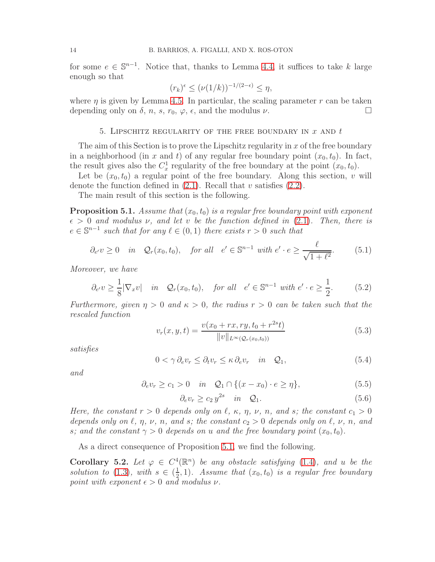for some  $e \in \mathbb{S}^{n-1}$ . Notice that, thanks to Lemma [4.4,](#page-10-1) it suffices to take k large enough so that

$$
(r_k)^{\epsilon} \le (\nu(1/k))^{-1/(2-\epsilon)} \le \eta,
$$

<span id="page-13-0"></span>where  $\eta$  is given by Lemma [4.5.](#page-11-4) In particular, the scaling parameter r can be taken depending only on  $\delta$ ,  $n$ ,  $s$ ,  $r_0$ ,  $\varphi$ ,  $\epsilon$ , and the modulus  $\nu$ .

#### 5. LIPSCHITZ REGULARITY OF THE FREE BOUNDARY IN  $x$  and  $t$

The aim of this Section is to prove the Lipschitz regularity in  $x$  of the free boundary in a neighborhood (in x and t) of any regular free boundary point  $(x_0, t_0)$ . In fact, the result gives also the  $C_x^1$  regularity of the free boundary at the point  $(x_0, t_0)$ .

Let be  $(x_0, t_0)$  a regular point of the free boundary. Along this section, v will denote the function defined in  $(2.1)$ . Recall that v satisfies  $(2.2)$ .

The main result of this section is the following.

<span id="page-13-1"></span>**Proposition 5.1.** *Assume that*  $(x_0, t_0)$  *is a regular free boundary point with exponent*  $\epsilon > 0$  *and modulus*  $\nu$ , *and let*  $\nu$  *be the function defined in* [\(2.1\)](#page-5-1)*. Then, there is*  $e \in \mathbb{S}^{n-1}$  such that for any  $\ell \in (0,1)$  there exists  $r > 0$  such that

<span id="page-13-2"></span>
$$
\partial_{e'} v \ge 0 \quad in \quad \mathcal{Q}_r(x_0, t_0), \quad \text{for all} \quad e' \in \mathbb{S}^{n-1} \text{ with } e' \cdot e \ge \frac{\ell}{\sqrt{1 + \ell^2}}. \tag{5.1}
$$

*Moreover, we have*

<span id="page-13-7"></span>
$$
\partial_{e'} v \ge \frac{1}{8} |\nabla_x v| \quad \text{in} \quad \mathcal{Q}_r(x_0, t_0), \quad \text{for all} \quad e' \in \mathbb{S}^{n-1} \text{ with } e' \cdot e \ge \frac{1}{2}. \tag{5.2}
$$

*Furthermore, given*  $\eta > 0$  *and*  $\kappa > 0$ *, the radius*  $r > 0$  *can be taken such that the rescaled function*

<span id="page-13-4"></span>
$$
v_r(x, y, t) = \frac{v(x_0 + rx, ry, t_0 + r^{2s}t)}{\|v\|_{L^{\infty}(\mathcal{Q}_r(x_0, t_0))}}
$$
(5.3)

*satisfies*

<span id="page-13-3"></span>
$$
0 < \gamma \, \partial_e v_r \leq \partial_t v_r \leq \kappa \, \partial_e v_r \quad \text{in} \quad \mathcal{Q}_1,\tag{5.4}
$$

*and*

<span id="page-13-5"></span>
$$
\partial_e v_r \ge c_1 > 0 \quad in \quad \mathcal{Q}_1 \cap \{(x - x_0) \cdot e \ge \eta\},\tag{5.5}
$$

<span id="page-13-6"></span>
$$
\partial_e v_r \ge c_2 y^{2s} \quad in \quad \mathcal{Q}_1. \tag{5.6}
$$

*Here, the constant*  $r > 0$  *depends only on*  $\ell$ ,  $\kappa$ ,  $\eta$ ,  $\nu$ ,  $n$ , and  $s$ ; the constant  $c_1 > 0$ *depends only on*  $\ell$ *,*  $\eta$ *,*  $\nu$ *,*  $n$ *, and s; the constant*  $c_2 > 0$  *depends only on*  $\ell$ *,*  $\nu$ *,*  $n$ *, and s*; and the constant  $\gamma > 0$  depends on u and the free boundary point  $(x_0, t_0)$ .

As a direct consequence of Proposition [5.1,](#page-13-1) we find the following.

<span id="page-13-8"></span>Corollary 5.2. Let  $\varphi \in C^4(\mathbb{R}^n)$  be any obstacle satisfying [\(1.4\)](#page-2-2), and u be the *solution to* [\(1.3\)](#page-1-0)*, with*  $s \in (\frac{1}{2})$  $(\frac{1}{2}, 1)$ . Assume that  $(x_0, t_0)$  is a regular free boundary *point with exponent*  $\epsilon > 0$  *and modulus*  $\nu$ *.*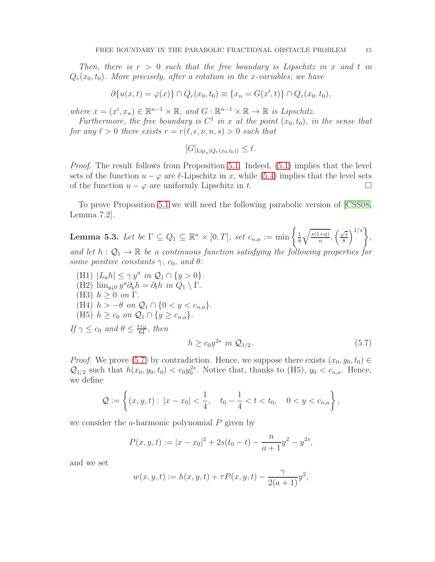*Then, there is*  $r > 0$  *such that the free boundary is Lipschitz in* x and t *in*  $Q_r(x_0, t_0)$ . More precisely, after a rotation in the x-variables, we have

$$
\partial \{u(x,t) = \varphi(x)\} \cap Q_r(x_0, t_0) \equiv \{x_n = G(x', t)\} \cap Q_r(x_0, t_0),
$$

*where*  $x = (x', x_n) \in \mathbb{R}^{n-1} \times \mathbb{R}$ , and  $G : \mathbb{R}^{n-1} \times \mathbb{R} \to \mathbb{R}$  is Lipschitz.

Furthermore, the free boundary is  $C^1$  in x at the point  $(x_0, t_0)$ , in the sense that *for any*  $\ell > 0$  *there exists*  $r = r(\ell, \epsilon, \nu, n, s) > 0$  *such that* 

$$
[G]_{\text{Lip}_x(Q_r(x_0,t_0))} \leq \ell.
$$

*Proof.* The result follows from Proposition [5.1.](#page-13-1) Indeed,  $(5.1)$  implies that the level sets of the function  $u - \varphi$  are  $\ell$ -Lipschitz in x, while [\(5.4\)](#page-13-3) implies that the level sets of the function  $u - \varphi$  are uniformly Lipschitz in t. of the function  $u - \varphi$  are uniformly Lipschitz in t.

To prove Proposition [5.1](#page-13-1) we will need the following parabolic version of [\[CSS08,](#page-28-4) Lemma 7.2].

<span id="page-14-1"></span>**Lemma 5.3.** Let be  $\Gamma \subseteq Q_1 \subseteq \mathbb{R}^n \times [0,T]$ , set  $c_{n,a} := \min \left\{ \frac{1}{8} \right\}$ 8  $\sqrt{s(1+a)}$  $\frac{\overline{+a}}{n}, \left(\frac{\sqrt{s}}{8}\right)$  $\frac{\sqrt{s}}{8}$ <sup> $\Big\}^{1/s}$ </sup> $\Big\},$ and let  $h: \mathcal{Q}_1 \to \mathbb{R}$  be a continuous function satisfying the following properties for *some positive constants*  $\gamma$ *, c*<sub>0</sub>*, and*  $\theta$ *:* 

 $(H1)$   $|L_a h| \leq \gamma y^a$  in  $Q_1 \cap \{y > 0\}.$ (H2)  $\lim_{y\downarrow 0} y^a \partial_y h = \partial_t h$  *in*  $Q_1 \setminus \Gamma$ . (H3)  $h \geq 0$  *on*  $\Gamma$ . (H4)  $h > -\theta$  on  $\mathcal{Q}_1 \cap \{0 < y < c_{n,a}\}.$ (H5)  $h \geq c_0$  *on*  $\mathcal{Q}_1 \cap \{y \geq c_{n,a}\}.$ *If*  $\gamma \leq c_0$  *and*  $\theta \leq \frac{s c_0}{64}$ *, then* 

<span id="page-14-0"></span>
$$
h \ge c_0 y^{2s} \text{ in } \mathcal{Q}_{1/2}. \tag{5.7}
$$

*Proof.* We prove [\(5.7\)](#page-14-0) by contradiction. Hence, we suppose there exists  $(x_0, y_0, t_0) \in$  $\mathcal{Q}_{1/2}$  such that  $h(x_0, y_0, t_0) < c_0 y_0^{2s}$ . Notice that, thanks to (H5),  $y_0 < c_{n,a}$ . Hence, we define

$$
\mathcal{Q} := \left\{ (x, y, t) : |x - x_0| < \frac{1}{4}, \quad t_0 - \frac{1}{4} < t < t_0, \quad 0 < y < c_{n, a} \right\},
$$

we consider the a-harmonic polynomial  $P$  given by

$$
P(x, y, t) := |x - x_0|^2 + 2s(t_0 - t) - \frac{n}{a + 1}y^2 - y^{2s},
$$

and we set

$$
w(x, y, t) := h(x, y, t) + \tau P(x, y, t) - \frac{\gamma}{2(a+1)} y^2,
$$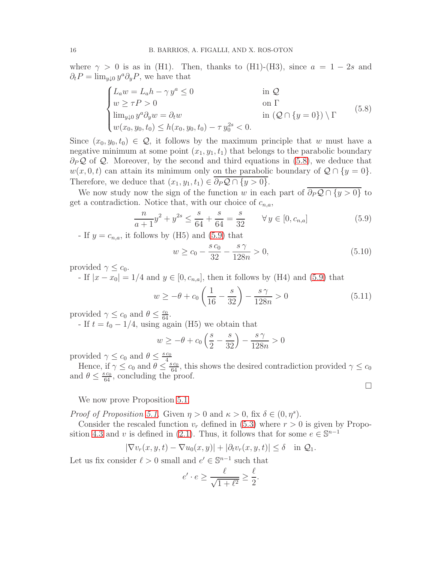where  $\gamma > 0$  is as in (H1). Then, thanks to (H1)-(H3), since  $a = 1 - 2s$  and  $\partial_t P = \lim_{y \downarrow 0} y^a \partial_y P$ , we have that

<span id="page-15-0"></span>
$$
\begin{cases}\nL_a w = L_a h - \gamma y^a \le 0 & \text{in } \mathcal{Q} \\
w \ge \tau P > 0 & \text{on } \Gamma \\
\lim_{y \downarrow 0} y^a \partial_y w = \partial_t w & \text{in } (\mathcal{Q} \cap \{y = 0\}) \setminus \Gamma \\
w(x_0, y_0, t_0) \le h(x_0, y_0, t_0) - \tau y_0^{2s} < 0.\n\end{cases}
$$
\n(5.8)

Since  $(x_0, y_0, t_0) \in \mathcal{Q}$ , it follows by the maximum principle that w must have a negative minimum at some point  $(x_1, y_1, t_1)$  that belongs to the parabolic boundary  $\partial_P \mathcal{Q}$  of  $\mathcal{Q}$ . Moreover, by the second and third equations in [\(5.8\)](#page-15-0), we deduce that  $w(x, 0, t)$  can attain its minimum only on the parabolic boundary of  $\mathcal{Q} \cap \{y = 0\}.$ Therefore, we deduce that  $(x_1, y_1, t_1) \in \overline{\partial_P \mathcal{Q} \cap \{y > 0\}}$ .

We now study now the sign of the function w in each part of  $\overline{\partial_P \mathcal{Q} \cap \{y > 0\}}$  to get a contradiction. Notice that, with our choice of  $c_{n,a}$ ,

<span id="page-15-1"></span>
$$
\frac{n}{a+1}y^2 + y^{2s} \le \frac{s}{64} + \frac{s}{64} = \frac{s}{32} \qquad \forall y \in [0, c_{n,a}]
$$
\n(5.9)

- If  $y = c_{n,a}$ , it follows by (H5) and [\(5.9\)](#page-15-1) that

$$
w \ge c_0 - \frac{s c_0}{32} - \frac{s \gamma}{128n} > 0,
$$
\n(5.10)

provided  $\gamma \leq c_0$ .

- If  $|x-x_0|=1/4$  and  $y\in[0,c_{n,a}]$ , then it follows by (H4) and [\(5.9\)](#page-15-1) that

$$
w \ge -\theta + c_0 \left(\frac{1}{16} - \frac{s}{32}\right) - \frac{s\,\gamma}{128n} > 0\tag{5.11}
$$

 $\Box$ 

provided  $\gamma \leq c_0$  and  $\theta \leq \frac{c_0}{64}$ .

- If  $t = t_0 - 1/4$ , using again (H5) we obtain that

$$
w \ge -\theta + c_0 \left(\frac{s}{2} - \frac{s}{32}\right) - \frac{s\,\gamma}{128n} > 0
$$

provided  $\gamma \leq c_0$  and  $\theta \leq \frac{s c_0}{4}$ 

Hence, if  $\gamma \leq c_0$  and  $\theta \leq \frac{s_{c_0}}{64}$ , this shows the desired contradiction provided  $\gamma \leq c_0$ and  $\theta \leq \frac{s c_0}{64}$ , concluding the proof.

We now prove Proposition [5.1.](#page-13-1)

*Proof of Proposition [5.1.](#page-13-1)* Given  $\eta > 0$  and  $\kappa > 0$ , fix  $\delta \in (0, \eta^s)$ .

Consider the rescaled function  $v_r$  defined in [\(5.3\)](#page-13-4) where  $r > 0$  is given by Propo-sition [4.3](#page-10-0) and v is defined in [\(2.1\)](#page-5-1). Thus, it follows that for some  $e \in \mathbb{S}^{n-1}$ 

$$
|\nabla v_r(x, y, t) - \nabla u_0(x, y)| + |\partial_t v_r(x, y, t)| \le \delta \quad \text{in } \mathcal{Q}_1.
$$

Let us fix consider  $\ell > 0$  small and  $e' \in \mathbb{S}^{n-1}$  such that

$$
e' \cdot e \ge \frac{\ell}{\sqrt{1 + \ell^2}} \ge \frac{\ell}{2}.
$$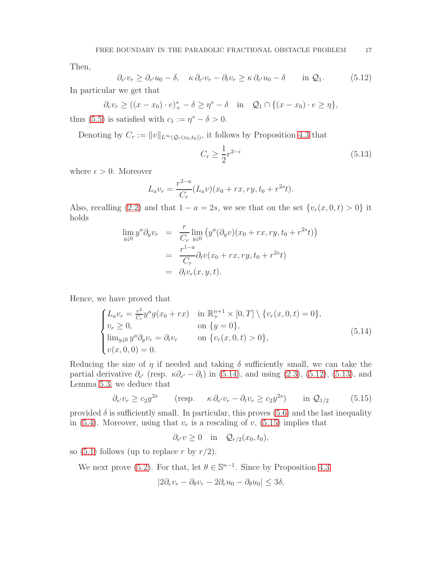Then,

<span id="page-16-1"></span>
$$
\partial_{e'} v_r \ge \partial_{e'} u_0 - \delta, \quad \kappa \partial_{e'} v_r - \partial_t v_r \ge \kappa \partial_{e'} u_0 - \delta \quad \text{in } \mathcal{Q}_1. \tag{5.12}
$$

In particular we get that

 $\partial_e v_r \ge ((x - x_0) \cdot e)_+^s - \delta \ge \eta^s - \delta \quad \text{in} \quad \mathcal{Q}_1 \cap \{(x - x_0) \cdot e \ge \eta\},\$ thus [\(5.5\)](#page-13-5) is satisfied with  $c_1 := \eta^s - \delta > 0$ .

Denoting by  $C_r := ||v||_{L^{\infty}(\mathcal{Q}_r(x_0,t_0))}$ , it follows by Proposition [4.3](#page-10-0) that

<span id="page-16-2"></span>
$$
C_r \ge \frac{1}{2}r^{2-\epsilon} \tag{5.13}
$$

where  $\epsilon > 0$ . Moreover

$$
L_a v_r = \frac{r^{2-a}}{C_r} (L_a v)(x_0 + rx, ry, t_0 + r^{2s}t).
$$

Also, recalling [\(2.2\)](#page-5-2) and that  $1 - a = 2s$ , we see that on the set  $\{v_r(x, 0, t) > 0\}$  it holds

$$
\lim_{y \downarrow 0} y^a \partial_y v_r = \frac{r}{C_r} \lim_{y \downarrow 0} (y^a (\partial_y v)(x_0 + rx, ry, t_0 + r^{2s} t))
$$
  
= 
$$
\frac{r^{1-a}}{C_r} \partial_t v(x_0 + rx, ry, t_0 + r^{2s} t)
$$
  
= 
$$
\partial_t v_r(x, y, t).
$$

Hence, we have proved that

<span id="page-16-0"></span>
$$
\begin{cases}\nL_a v_r = \frac{r^2}{C_r} y^a g(x_0 + rx) & \text{in } \mathbb{R}_+^{n+1} \times [0, T] \setminus \{v_r(x, 0, t) = 0\}, \\
v_r \ge 0, & \text{on } \{y = 0\}, \\
\lim_{y \downarrow 0} y^a \partial_y v_r = \partial_t v_r & \text{on } \{v_r(x, 0, t) > 0\}, \\
v(x, 0, 0) = 0.\n\end{cases}
$$
\n(5.14)

Reducing the size of  $\eta$  if needed and taking  $\delta$  sufficiently small, we can take the partial derivative  $\partial_{e'}$  (resp.  $\kappa \partial_{e'} - \partial_t$ ) in [\(5.14\)](#page-16-0), and using [\(2.3\)](#page-5-3), [\(5.12\)](#page-16-1), [\(5.13\)](#page-16-2), and Lemma [5.3,](#page-14-1) we deduce that

<span id="page-16-3"></span>
$$
\partial_{e'} v_r \ge c_2 y^{2s} \qquad \text{(resp.} \qquad \kappa \partial_{e'} v_r - \partial_t v_r \ge c_2 y^{2s} \text{)} \qquad \text{in } \mathcal{Q}_{1/2} \tag{5.15}
$$

provided  $\delta$  is sufficiently small. In particular, this proves [\(5.6\)](#page-13-6) and the last inequality in [\(5.4\)](#page-13-3). Moreover, using that  $v_r$  is a rescaling of  $v$ , [\(5.15\)](#page-16-3) implies that

$$
\partial_{e'} v \ge 0 \quad \text{in} \quad \mathcal{Q}_{r/2}(x_0, t_0),
$$

so [\(5.1\)](#page-13-2) follows (up to replace r by  $r/2$ ).

We next prove [\(5.2\)](#page-13-7). For that, let  $\theta \in \mathbb{S}^{n-1}$ . Since by Proposition [4.3](#page-10-0)

$$
|2\partial_e v_r - \partial_\theta v_r - 2\partial_e u_0 - \partial_\theta u_0| \le 3\delta,
$$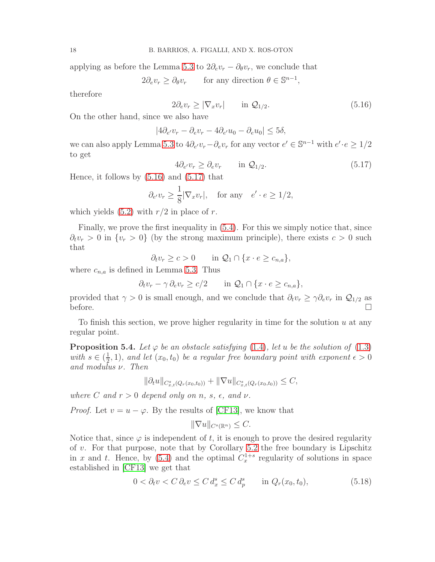applying as before the Lemma [5.3](#page-14-1) to  $2\partial_e v_r - \partial_\theta v_r$ , we conclude that

 $2\partial_e v_r \geq \partial_\theta v_r$  for any direction  $\theta \in \mathbb{S}^{n-1}$ ,

therefore

<span id="page-17-0"></span>
$$
2\partial_e v_r \ge |\nabla_x v_r| \qquad \text{in } \mathcal{Q}_{1/2}.\tag{5.16}
$$

On the other hand, since we also have

$$
|4\partial_{e'}v_r - \partial_{e}v_r - 4\partial_{e'}u_0 - \partial_{e}u_0| \le 5\delta,
$$

we can also apply Lemma [5.3](#page-14-1) to  $4\partial_{e'}v_r - \partial_{e}v_r$  for any vector  $e' \in \mathbb{S}^{n-1}$  with  $e' \cdot e \geq 1/2$ to get

<span id="page-17-1"></span>
$$
4\partial_{e'}v_r \ge \partial_e v_r \qquad \text{in } \mathcal{Q}_{1/2}.\tag{5.17}
$$

Hence, it follows by  $(5.16)$  and  $(5.17)$  that

$$
\partial_{e'} v_r \ge \frac{1}{8} |\nabla_x v_r|
$$
, for any  $e' \cdot e \ge 1/2$ ,

which yields  $(5.2)$  with  $r/2$  in place of r.

Finally, we prove the first inequality in [\(5.4\)](#page-13-3). For this we simply notice that, since  $\partial_t v_r > 0$  in  $\{v_r > 0\}$  (by the strong maximum principle), there exists  $c > 0$  such that

$$
\partial_t v_r \ge c > 0 \qquad \text{in } \mathcal{Q}_1 \cap \{x \cdot e \ge c_{n,a}\},
$$

where  $c_{n,a}$  is defined in Lemma [5.3.](#page-14-1) Thus

$$
\partial_t v_r - \gamma \partial_e v_r \ge c/2 \qquad \text{in } \mathcal{Q}_1 \cap \{x \cdot e \ge c_{n,a}\},
$$

provided that  $\gamma > 0$  is small enough, and we conclude that  $\partial_t v_r \geq \gamma \partial_e v_r$  in  $\mathcal{Q}_{1/2}$  as  $\Box$ 

To finish this section, we prove higher regularity in time for the solution  $u$  at any regular point.

<span id="page-17-3"></span>**Proposition 5.4.** Let  $\varphi$  *be an obstacle satisfying* [\(1.4\)](#page-2-2)*, let u be the solution of* [\(1.3\)](#page-1-0) *with*  $s \in \left(\frac{1}{2}\right)$  $(\frac{1}{2}, 1)$ , and let  $(x_0, t_0)$  be a regular free boundary point with exponent  $\epsilon > 0$ *and modulus* ν*. Then*

$$
\|\partial_t u\|_{C^s_{x,t}(Q_r(x_0,t_0))} + \|\nabla u\|_{C^s_{x,t}(Q_r(x_0,t_0))} \leq C,
$$

*where* C and  $r > 0$  depend only on n, s,  $\epsilon$ , and  $\nu$ .

*Proof.* Let  $v = u - \varphi$ . By the results of [\[CF13\]](#page-28-2), we know that

$$
\|\nabla u\|_{C^s(\mathbb{R}^n)} \leq C.
$$

Notice that, since  $\varphi$  is independent of t, it is enough to prove the desired regularity of v. For that purpose, note that by Corollary  $5.2$  the free boundary is Lipschitz in x and t. Hence, by [\(5.4\)](#page-13-3) and the optimal  $C_x^{1+s}$  regularity of solutions in space established in [\[CF13\]](#page-28-2) we get that

<span id="page-17-2"></span>
$$
0 < \partial_t v < C \partial_e v \leq C \, d_x^s \leq C \, d_p^s \qquad \text{in } Q_r(x_0, t_0), \tag{5.18}
$$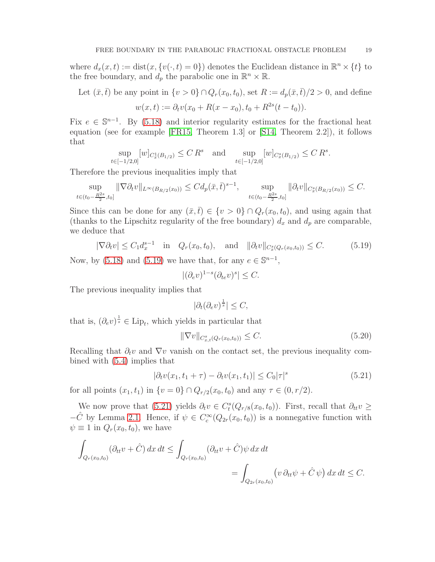where  $d_x(x,t) := \text{dist}(x, \{v(\cdot, t) = 0\})$  denotes the Euclidean distance in  $\mathbb{R}^n \times \{t\}$  to the free boundary, and  $d_p$  the parabolic one in  $\mathbb{R}^n \times \mathbb{R}$ .

Let  $(\bar{x},\bar{t})$  be any point in  $\{v > 0\} \cap Q_r(x_0,t_0)$ , set  $R := d_p(\bar{x},\bar{t})/2 > 0$ , and define  $w(x,t) := \partial_t v(x_0 + R(x - x_0), t_0 + R^{2s}(t - t_0)).$ 

Fix  $e \in \mathbb{S}^{n-1}$ . By [\(5.18\)](#page-17-2) and interior regularity estimates for the fractional heat equation (see for example [\[FR15,](#page-28-14) Theorem 1.3] or [\[S14,](#page-28-15) Theorem 2.2]), it follows that

$$
\sup_{t \in [-1/2,0]} [w]_{C_x^1(B_{1/2})} \le C R^s \quad \text{and} \quad \sup_{t \in [-1/2,0]} [w]_{C_x^s(B_{1/2})} \le C R^s.
$$

Therefore the previous inequalities imply that

$$
\sup_{t \in (t_0 - \frac{R^{2s}}{2}, t_0]} \|\nabla \partial_t v\|_{L^{\infty}(B_{R/2}(x_0))} \leq C d_p(\bar{x}, \bar{t})^{s-1}, \quad \sup_{t \in (t_0 - \frac{R^{2s}}{2}, t_0]} \|\partial_t v\|_{C_x^s(B_{R/2}(x_0))} \leq C.
$$

Since this can be done for any  $(\bar{x}, \bar{t}) \in \{v > 0\} \cap Q_r(x_0, t_0)$ , and using again that (thanks to the Lipschitz regularity of the free boundary)  $d_x$  and  $d_p$  are comparable, we deduce that

<span id="page-18-0"></span>
$$
|\nabla \partial_t v| \le C_1 d_x^{s-1} \quad \text{in} \quad Q_r(x_0, t_0), \quad \text{and} \quad ||\partial_t v||_{C_x^s(Q_r(x_0, t_0))} \le C. \tag{5.19}
$$

Now, by [\(5.18\)](#page-17-2) and [\(5.19\)](#page-18-0) we have that, for any  $e \in \mathbb{S}^{n-1}$ ,

$$
|(\partial_e v)^{1-s} (\partial_{te} v)^s| \le C.
$$

The previous inequality implies that

$$
|\partial_t(\partial_e v)^{\frac{1}{s}}| \leq C,
$$

that is,  $(\partial_e v)^{\frac{1}{s}} \in \text{Lip}_t$ , which yields in particular that

$$
\|\nabla v\|_{C^s_{x,t}(Q_r(x_0,t_0))} \le C. \tag{5.20}
$$

Recalling that  $\partial_t v$  and  $\nabla v$  vanish on the contact set, the previous inequality combined with [\(5.4\)](#page-13-3) implies that

<span id="page-18-1"></span>
$$
|\partial_t v(x_1, t_1 + \tau) - \partial_t v(x_1, t_1)| \le C_0 |\tau|^s \tag{5.21}
$$

for all points  $(x_1, t_1)$  in  $\{v = 0\} \cap Q_{r/2}(x_0, t_0)$  and any  $\tau \in (0, r/2)$ .

We now prove that [\(5.21\)](#page-18-1) yields  $\partial_t v \in C_t^s(Q_{r/8}(x_0, t_0))$ . First, recall that  $\partial_{tt} v \geq$  $-\hat{C}$  by Lemma [2.1.](#page-3-1) Hence, if  $\psi \in C_c^{\infty}(Q_{2r}(x_0,t_0))$  is a nonnegative function with  $\psi \equiv 1$  in  $Q_r(x_0, t_0)$ , we have

$$
\int_{Q_r(x_0,t_0)} (\partial_{tt}v + \hat{C}) dx dt \le \int_{Q_r(x_0,t_0)} (\partial_{tt}v + \hat{C}) \psi dx dt
$$
  
= 
$$
\int_{Q_{2r}(x_0,t_0)} (v \partial_{tt} \psi + \hat{C} \psi) dx dt \le C.
$$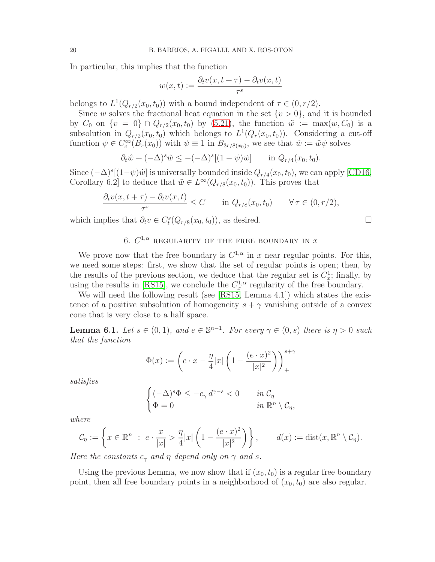In particular, this implies that the function

$$
w(x,t) := \frac{\partial_t v(x,t+\tau) - \partial_t v(x,t)}{\tau^s}
$$

belongs to  $L^1(Q_{r/2}(x_0,t_0))$  with a bound independent of  $\tau \in (0, r/2)$ .

Since w solves the fractional heat equation in the set  $\{v > 0\}$ , and it is bounded by  $C_0$  on  $\{v = 0\} \cap Q_{r/2}(x_0, t_0)$  by  $(5.21)$ , the function  $\tilde{w} := \max(w, C_0)$  is a subsolution in  $Q_{r/2}(x_0, t_0)$  which belongs to  $L^1(Q_r(x_0, t_0))$ . Considering a cut-off function  $\psi \in C_c^{\infty}(B_r(x_0))$  with  $\psi \equiv 1$  in  $B_{3r/8(x_0)}$ , we see that  $\hat{w} := \tilde{w}\psi$  solves

$$
\partial_t \hat{w} + (-\Delta)^s \hat{w} \le -(-\Delta)^s [(1-\psi)\tilde{w}] \quad \text{in } Q_{r/4}(x_0, t_0).
$$

Since  $(-\Delta)^s[(1-\psi)\tilde{w}]$  is universally bounded inside  $Q_{r/4}(x_0, t_0)$ , we can apply [\[CD16,](#page-28-16) Corollary 6.2] to deduce that  $\tilde{w} \in L^{\infty}(Q_{r/8}(x_0,t_0))$ . This proves that

$$
\frac{\partial_t v(x, t + \tau) - \partial_t v(x, t)}{\tau^s} \le C \quad \text{in } Q_{r/8}(x_0, t_0) \quad \forall \tau \in (0, r/2),
$$

<span id="page-19-0"></span>which implies that  $\partial_t v \in C_t^s(Q_{r/8}(x_0, t_0))$ , as desired.  $\Box$ 

# 6.  $C^{1,\alpha}$  REGULARITY OF THE FREE BOUNDARY IN  $x$

We prove now that the free boundary is  $C^{1,\alpha}$  in x near regular points. For this, we need some steps: first, we show that the set of regular points is open; then, by the results of the previous section, we deduce that the regular set is  $C_x^1$ ; finally, by using the results in [\[RS15\]](#page-28-17), we conclude the  $C_x^{1,\alpha}$  regularity of the free boundary.

We will need the following result (see [\[RS15,](#page-28-17) Lemma 4.1]) which states the existence of a positive subsolution of homogeneity  $s + \gamma$  vanishing outside of a convex cone that is very close to a half space.

<span id="page-19-1"></span>**Lemma 6.1.** *Let*  $s \in (0,1)$ *, and*  $e \in \mathbb{S}^{n-1}$ *. For every*  $\gamma \in (0,s)$  *there is*  $\eta > 0$  *such that the function*

$$
\Phi(x) := \left( e \cdot x - \frac{\eta}{4}|x| \left( 1 - \frac{(e \cdot x)^2}{|x|^2} \right) \right)_+^{s+\gamma}
$$

*satisfies*

$$
\begin{cases}\n(-\Delta)^s \Phi \le -c_\gamma d^{\gamma-s} < 0 \quad \text{in } \mathcal{C}_\eta \\
\Phi = 0 & \text{in } \mathbb{R}^n \setminus \mathcal{C}_\eta,\n\end{cases}
$$

*where*

$$
\mathcal{C}_{\eta} := \left\{ x \in \mathbb{R}^n \ : \ e \cdot \frac{x}{|x|} > \frac{\eta}{4}|x| \left(1 - \frac{(e \cdot x)^2}{|x|^2}\right) \right\}, \qquad d(x) := \text{dist}(x, \mathbb{R}^n \setminus \mathcal{C}_{\eta}).
$$

*Here the constants*  $c_{\gamma}$  *and*  $\eta$  *depend only on*  $\gamma$  *and s*.

Using the previous Lemma, we now show that if  $(x_0, t_0)$  is a regular free boundary point, then all free boundary points in a neighborhood of  $(x_0, t_0)$  are also regular.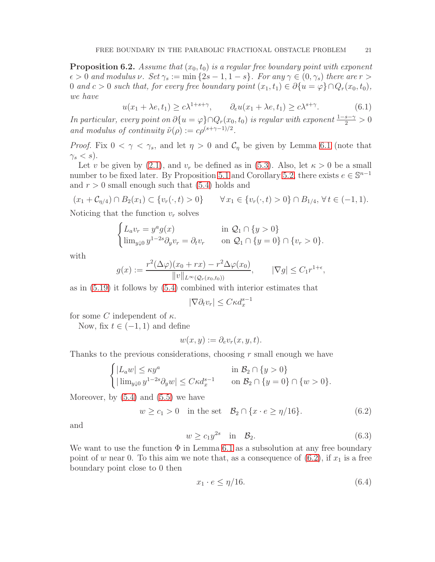<span id="page-20-2"></span>**Proposition 6.2.** *Assume that*  $(x_0, t_0)$  *is a regular free boundary point with exponent*  $\epsilon > 0$  *and modulus*  $\nu$ *. Set*  $\gamma_s := \min\{2s - 1, 1 - s\}$ *. For any*  $\gamma \in (0, \gamma_s)$  *there are*  $r > 0$ 0 and  $c > 0$  such that, for every free boundary point  $(x_1, t_1) \in \partial \{u = \varphi\} \cap Q_r(x_0, t_0)$ , *we have*

<span id="page-20-3"></span>
$$
u(x_1 + \lambda e, t_1) \ge c\lambda^{1+s+\gamma}, \qquad \partial_e u(x_1 + \lambda e, t_1) \ge c\lambda^{s+\gamma}.
$$
 (6.1)

*In particular, every point on*  $\partial \{u = \varphi\} \cap Q_r(x_0, t_0)$  *is regular with exponent*  $\frac{1-s-\gamma}{2} > 0$ *and modulus of continuity*  $\tilde{\nu}(\rho) := c\rho^{(s+\gamma-1)/2}$ *.* 

*Proof.* Fix  $0 < \gamma < \gamma_s$ , and let  $\eta > 0$  and  $\mathcal{C}_{\eta}$  be given by Lemma [6.1](#page-19-1) (note that  $\gamma_s < s$ ).

Let v be given by [\(2.1\)](#page-5-1), and  $v_r$  be defined as in [\(5.3\)](#page-13-4). Also, let  $\kappa > 0$  be a small number to be fixed later. By Proposition [5.1](#page-13-1) and Corollary [5.2,](#page-13-8) there exists  $e \in \mathbb{S}^{n-1}$ and  $r > 0$  small enough such that  $(5.4)$  holds and

$$
(x_1 + C_{\eta/4}) \cap B_2(x_1) \subset \{v_r(\cdot, t) > 0\} \qquad \forall x_1 \in \{v_r(\cdot, t) > 0\} \cap B_{1/4}, \forall t \in (-1, 1).
$$

Noticing that the function  $v_r$  solves

$$
\begin{cases} L_a v_r = y^a g(x) & \text{in } \mathcal{Q}_1 \cap \{y > 0\} \\ \lim_{y \downarrow 0} y^{1-2s} \partial_y v_r = \partial_t v_r & \text{on } \mathcal{Q}_1 \cap \{y = 0\} \cap \{v_r > 0\}. \end{cases}
$$

with

$$
g(x) := \frac{r^2(\Delta \varphi)(x_0 + rx) - r^2 \Delta \varphi(x_0)}{\|v\|_{L^{\infty}(\mathcal{Q}_r(x_0, t_0))}}, \qquad |\nabla g| \leq C_1 r^{1+\epsilon},
$$

as in [\(5.19\)](#page-18-0) it follows by [\(5.4\)](#page-13-3) combined with interior estimates that

$$
|\nabla \partial_t v_r| \le C \kappa d_x^{s-1}
$$

for some C independent of  $\kappa$ .

Now, fix  $t \in (-1, 1)$  and define

$$
w(x, y) := \partial_e v_r(x, y, t).
$$

Thanks to the previous considerations, choosing  $r$  small enough we have

$$
\begin{cases} |L_a w| \leq \kappa y^a & \text{in } \mathcal{B}_2 \cap \{y > 0\} \\ |\lim_{y \downarrow 0} y^{1-2s} \partial_y w| \leq C \kappa d_x^{s-1} & \text{on } \mathcal{B}_2 \cap \{y = 0\} \cap \{w > 0\}. \end{cases}
$$

Moreover, by  $(5.4)$  and  $(5.5)$  we have

<span id="page-20-0"></span>
$$
w \ge c_1 > 0 \quad \text{in the set} \quad \mathcal{B}_2 \cap \{x \cdot e \ge \eta/16\}. \tag{6.2}
$$

and

<span id="page-20-1"></span>
$$
w \ge c_1 y^{2s} \quad \text{in} \quad \mathcal{B}_2. \tag{6.3}
$$

We want to use the function  $\Phi$  in Lemma [6.1](#page-19-1) as a subsolution at any free boundary point of w near 0. To this aim we note that, as a consequence of  $(6.2)$ , if  $x_1$  is a free boundary point close to 0 then

$$
x_1 \cdot e \le \eta/16. \tag{6.4}
$$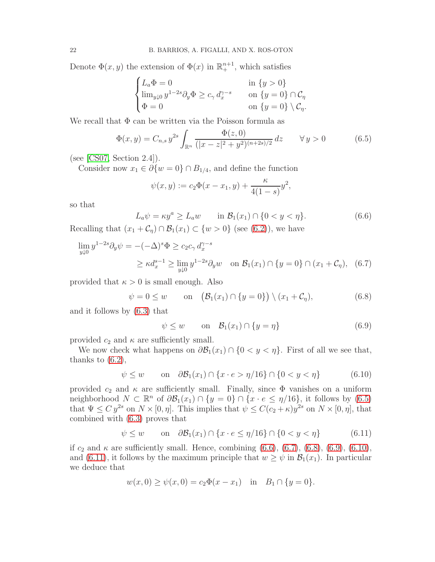Denote  $\Phi(x, y)$  the extension of  $\Phi(x)$  in  $\mathbb{R}^{n+1}_+$ , which satisfies

$$
\begin{cases} L_a \Phi = 0 & \text{in } \{y > 0\} \\ \lim_{y \downarrow 0} y^{1-2s} \partial_y \Phi \ge c_\gamma d_x^{\gamma - s} & \text{on } \{y = 0\} \cap \mathcal{C}_\eta \\ \Phi = 0 & \text{on } \{y = 0\} \setminus \mathcal{C}_\eta. \end{cases}
$$

We recall that  $\Phi$  can be written via the Poisson formula as

<span id="page-21-0"></span>
$$
\Phi(x,y) = C_{n,s} y^{2s} \int_{\mathbb{R}^n} \frac{\Phi(z,0)}{(|x-z|^2 + y^2)^{(n+2s)/2}} dz \qquad \forall y > 0 \tag{6.5}
$$

(see [\[CS07,](#page-28-13) Section 2.4]).

Consider now  $x_1 \in \partial \{w = 0\} \cap B_{1/4}$ , and define the function

$$
\psi(x,y) := c_2 \Phi(x - x_1, y) + \frac{\kappa}{4(1-s)} y^2,
$$

so that

<span id="page-21-1"></span>
$$
L_a \psi = \kappa y^a \ge L_a w \qquad \text{in } \mathcal{B}_1(x_1) \cap \{0 < y < \eta\}. \tag{6.6}
$$

Recalling that  $(x_1 + C_\eta) \cap \mathcal{B}_1(x_1) \subset \{w > 0\}$  (see [\(6.2\)](#page-20-0)), we have

$$
\lim_{y \downarrow 0} y^{1-2s} \partial_y \psi = -(-\Delta)^s \Phi \ge c_2 c_\gamma d_x^{\gamma-s}
$$
\n
$$
\ge \kappa d_x^{s-1} \ge \lim_{y \downarrow 0} y^{1-2s} \partial_y w \quad \text{on } \mathcal{B}_1(x_1) \cap \{y = 0\} \cap (x_1 + \mathcal{C}_\eta), \tag{6.7}
$$

provided that  $\kappa > 0$  is small enough. Also

<span id="page-21-3"></span>
$$
\psi = 0 \le w \qquad \text{on} \quad \left(\mathcal{B}_1(x_1) \cap \{y = 0\}\right) \setminus (x_1 + \mathcal{C}_\eta),\tag{6.8}
$$

and it follows by [\(6.3\)](#page-20-1) that

<span id="page-21-4"></span><span id="page-21-2"></span>
$$
\psi \le w \qquad \text{on} \quad \mathcal{B}_1(x_1) \cap \{y = \eta\} \tag{6.9}
$$

provided  $c_2$  and  $\kappa$  are sufficiently small.

We now check what happens on  $\partial \mathcal{B}_1(x_1) \cap \{0 < y < \eta\}$ . First of all we see that, thanks to  $(6.2)$ ,

<span id="page-21-5"></span>
$$
\psi \le w \qquad \text{on} \quad \partial \mathcal{B}_1(x_1) \cap \{x \cdot e > \eta/16\} \cap \{0 < y < \eta\} \tag{6.10}
$$

provided  $c_2$  and  $\kappa$  are sufficiently small. Finally, since  $\Phi$  vanishes on a uniform neighborhood  $N \subset \mathbb{R}^n$  of  $\partial \mathcal{B}_1(x_1) \cap \{y = 0\} \cap \{x \cdot e \leq \eta/16\}$ , it follows by [\(6.5\)](#page-21-0) that  $\Psi \le C y^{2s}$  on  $N \times [0, \eta]$ . This implies that  $\psi \le C(c_2 + \kappa)y^{2s}$  on  $N \times [0, \eta]$ , that combined with [\(6.3\)](#page-20-1) proves that

<span id="page-21-6"></span>
$$
\psi \le w \qquad \text{on} \quad \partial \mathcal{B}_1(x_1) \cap \{x \cdot e \le \eta/16\} \cap \{0 < y < \eta\} \tag{6.11}
$$

if  $c_2$  and  $\kappa$  are sufficiently small. Hence, combining  $(6.6)$ ,  $(6.7)$ ,  $(6.8)$ ,  $(6.9)$ ,  $(6.10)$ , and [\(6.11\)](#page-21-6), it follows by the maximum principle that  $w \geq \psi$  in  $\mathcal{B}_1(x_1)$ . In particular we deduce that

$$
w(x, 0) \ge \psi(x, 0) = c_2 \Phi(x - x_1)
$$
 in  $B_1 \cap \{y = 0\}.$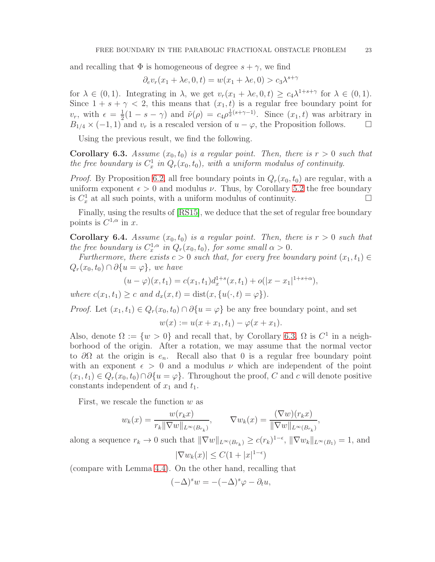and recalling that  $\Phi$  is homogeneous of degree  $s + \gamma$ , we find

$$
\partial_e v_r(x_1 + \lambda e, 0, t) = w(x_1 + \lambda e, 0) > c_3 \lambda^{s + \gamma}
$$

for  $\lambda \in (0,1)$ . Integrating in  $\lambda$ , we get  $v_r(x_1 + \lambda e, 0, t) \ge c_4 \lambda^{1+s+\gamma}$  for  $\lambda \in (0,1)$ . Since  $1 + s + \gamma < 2$ , this means that  $(x_1, t)$  is a regular free boundary point for  $v_r$ , with  $\epsilon = \frac{1}{2}$  $\frac{1}{2}(1-s-\gamma)$  and  $\tilde{\nu}(\rho) = c_4\rho^{\frac{1}{2}(s+\gamma-1)}$ . Since  $(x_1, t)$  was arbitrary in  $B_{1/4} \times (-1, 1)$  and  $v_r$  is a rescaled version of  $u - \varphi$ , the Proposition follows.  $\square$ 

Using the previous result, we find the following.

<span id="page-22-0"></span>**Corollary 6.3.** Assume  $(x_0, t_0)$  is a regular point. Then, there is  $r > 0$  such that *the free boundary is*  $C_x^1$  *in*  $Q_r(x_0, t_0)$ *, with a uniform modulus of continuity.* 

*Proof.* By Proposition [6.2,](#page-20-2) all free boundary points in  $Q_r(x_0, t_0)$  are regular, with a uniform exponent  $\epsilon > 0$  and modulus  $\nu$ . Thus, by Corollary [5.2](#page-13-8) the free boundary is  $C_x^1$  at all such points, with a uniform modulus of continuity.

Finally, using the results of [\[RS15\]](#page-28-17), we deduce that the set of regular free boundary points is  $C^{1,\alpha}$  in x.

<span id="page-22-1"></span>**Corollary 6.4.** Assume  $(x_0, t_0)$  is a regular point. Then, there is  $r > 0$  such that *the free boundary is*  $C_x^{1,\alpha}$  *in*  $Q_r(x_0,t_0)$ *, for some small*  $\alpha > 0$ *.* 

*Furthermore, there exists*  $c > 0$  *such that, for every free boundary point*  $(x_1, t_1) \in$  $Q_r(x_0, t_0) \cap \partial \{u = \varphi\}$ , we have

$$
(u - \varphi)(x, t_1) = c(x_1, t_1)d_x^{1+s}(x, t_1) + o(|x - x_1|^{1+s+\alpha}),
$$

*where*  $c(x_1, t_1) > c$  *and*  $d_x(x, t) = \text{dist}(x, \{u(\cdot, t) = \varphi\}).$ 

*Proof.* Let  $(x_1, t_1) \in Q_r(x_0, t_0) \cap \partial \{u = \varphi\}$  be any free boundary point, and set

$$
w(x) := u(x + x_1, t_1) - \varphi(x + x_1).
$$

Also, denote  $\Omega := \{w > 0\}$  and recall that, by Corollary [6.3,](#page-22-0)  $\Omega$  is  $C^1$  in a neighborhood of the origin. After a rotation, we may assume that the normal vector to  $\partial\Omega$  at the origin is  $e_n$ . Recall also that 0 is a regular free boundary point with an exponent  $\epsilon > 0$  and a modulus  $\nu$  which are independent of the point  $(x_1, t_1) \in Q_r(x_0, t_0) \cap \partial \{u = \varphi\}.$  Throughout the proof, C and c will denote positive constants independent of  $x_1$  and  $t_1$ .

First, we rescale the function  $w$  as

$$
w_k(x) = \frac{w(r_k x)}{r_k \|\nabla w\|_{L^\infty(B_{r_k})}}, \qquad \nabla w_k(x) = \frac{(\nabla w)(r_k x)}{\|\nabla w\|_{L^\infty(B_{r_k})}},
$$

along a sequence  $r_k \to 0$  such that  $\|\nabla w\|_{L^{\infty}(B_{r_k})} \ge c(r_k)^{1-\epsilon}$ ,  $\|\nabla w_k\|_{L^{\infty}(B_1)} = 1$ , and

$$
|\nabla w_k(x)| \le C(1+|x|^{1-\epsilon})
$$

(compare with Lemma [4.4\)](#page-10-1). On the other hand, recalling that

$$
(-\Delta)^s w = -(-\Delta)^s \varphi - \partial_t u,
$$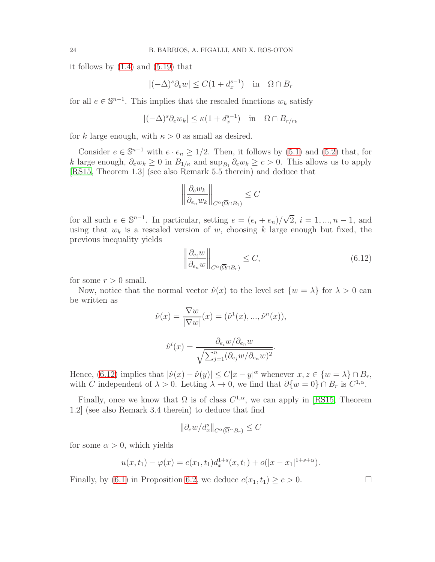it follows by  $(1.4)$  and  $(5.19)$  that

$$
|(-\Delta)^s \partial_e w| \le C(1 + d_x^{s-1}) \quad \text{in} \quad \Omega \cap B_r
$$

for all  $e \in \mathbb{S}^{n-1}$ . This implies that the rescaled functions  $w_k$  satisfy

$$
|(-\Delta)^s \partial_e w_k| \le \kappa (1 + d_x^{s-1}) \quad \text{in} \quad \Omega \cap B_{r/r_k}
$$

for k large enough, with  $\kappa > 0$  as small as desired.

Consider  $e \in \mathbb{S}^{n-1}$  with  $e \cdot e_n \ge 1/2$ . Then, it follows by [\(5.1\)](#page-13-2) and [\(5.2\)](#page-13-7) that, for k large enough,  $\partial_e w_k \geq 0$  in  $B_{1/\kappa}$  and  $\sup_{B_1} \partial_e w_k \geq c > 0$ . This allows us to apply [\[RS15,](#page-28-17) Theorem 1.3] (see also Remark 5.5 therein) and deduce that

$$
\left\|\frac{\partial_e w_k}{\partial_{e_n} w_k}\right\|_{C^{\alpha}(\overline{\Omega} \cap B_1)} \leq C
$$

for all such  $e \in \mathbb{S}^{n-1}$ . In particular, setting  $e = (e_i + e_n)/\sqrt{2}$ ,  $i = 1, ..., n-1$ , and using that  $w_k$  is a rescaled version of w, choosing k large enough but fixed, the previous inequality yields

<span id="page-23-0"></span>
$$
\left\| \frac{\partial_{e_i} w}{\partial_{e_n} w} \right\|_{C^{\alpha}(\overline{\Omega} \cap B_r)} \le C,
$$
\n(6.12)

for some  $r > 0$  small.

Now, notice that the normal vector  $\hat{\nu}(x)$  to the level set  $\{w = \lambda\}$  for  $\lambda > 0$  can be written as

$$
\hat{\nu}(x) = \frac{\nabla w}{|\nabla w|}(x) = (\hat{\nu}^1(x), ..., \hat{\nu}^n(x)),
$$

$$
\hat{\nu}^i(x) = \frac{\partial_{e_i} w}{\sqrt{\sum_{j=1}^n (\partial_{e_j} w/\partial_{e_n} w)^2}}.
$$

Hence, [\(6.12\)](#page-23-0) implies that  $|\hat{\nu}(x) - \hat{\nu}(y)| \le C|x - y|^{\alpha}$  whenever  $x, z \in \{w = \lambda\} \cap B_r$ , with C independent of  $\lambda > 0$ . Letting  $\lambda \to 0$ , we find that  $\partial \{w = 0\} \cap B_r$  is  $C^{1,\alpha}$ .

Finally, once we know that  $\Omega$  is of class  $C^{1,\alpha}$ , we can apply in [\[RS15,](#page-28-17) Theorem 1.2] (see also Remark 3.4 therein) to deduce that find

$$
\|\partial_{e}w/d_{x}^{s}\|_{C^{\alpha}(\overline{\Omega}\cap B_{r})}\leq C
$$

for some  $\alpha > 0$ , which yields

$$
u(x,t_1) - \varphi(x) = c(x_1,t_1)d_x^{1+s}(x,t_1) + o(|x-x_1|^{1+s+\alpha}).
$$

Finally, by [\(6.1\)](#page-20-3) in Proposition [6.2,](#page-20-2) we deduce  $c(x_1, t_1) \geq c > 0$ .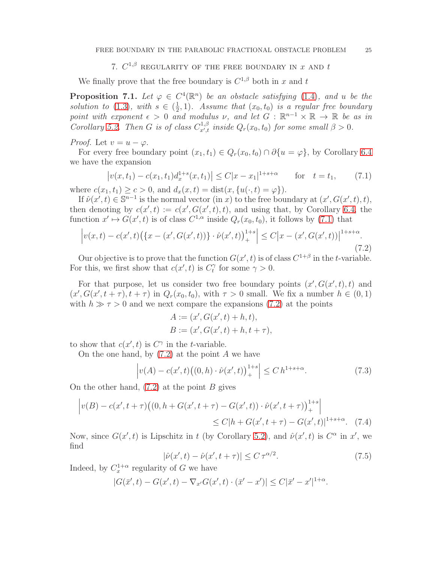7.  $C^{1,\beta}$  REGULARITY OF THE FREE BOUNDARY IN  $x$  AND  $t$ 

<span id="page-24-0"></span>We finally prove that the free boundary is  $C^{1,\beta}$  both in x and t

<span id="page-24-6"></span>**Proposition 7.1.** Let  $\varphi \in C^4(\mathbb{R}^n)$  be an obstacle satisfying [\(1.4\)](#page-2-2), and u be the *solution to* [\(1.3\)](#page-1-0)*, with*  $s \in (\frac{1}{2})$  $(\frac{1}{2}, 1)$ *. Assume that*  $(x_0, t_0)$  *is a regular free boundary point with exponent*  $\epsilon > 0$  *and modulus*  $\nu$ *, and let*  $G : \mathbb{R}^{n-1} \times \mathbb{R} \to \mathbb{R}$  *be as in Corollary* [5.2.](#page-13-8) *Then G is of class*  $C_{x',t}^{1,\beta}$  *inside*  $Q_r(x_0, t_0)$  *for some small*  $\beta > 0$ *.* 

*Proof.* Let  $v = u - \varphi$ .

For every free boundary point  $(x_1, t_1) \in Q_r(x_0, t_0) \cap \partial \{u = \varphi\}$ , by Corollary [6.4](#page-22-1) we have the expansion

<span id="page-24-1"></span>
$$
\left| v(x, t_1) - c(x_1, t_1) d_x^{1+s}(x, t_1) \right| \le C|x - x_1|^{1+s+\alpha} \quad \text{for} \quad t = t_1,\tag{7.1}
$$

where  $c(x_1, t_1) \ge c > 0$ , and  $d_x(x, t) = \text{dist}(x, \{u(\cdot, t) = \varphi\}).$ 

If  $\hat{\nu}(x',t) \in \mathbb{S}^{n-1}$  is the normal vector  $(\text{in } x)$  to the free boundary at  $(x', G(x', t), t)$ , then denoting by  $c(x',t) := c(x',G(x',t),t)$ , and using that, by Corollary [6.4,](#page-22-1) the function  $x' \mapsto G(x', t)$  is of class  $C^{1,\alpha}$  inside  $Q_r(x_0, t_0)$ , it follows by [\(7.1\)](#page-24-1) that

<span id="page-24-2"></span>
$$
\left| v(x,t) - c(x',t) \left( \{ x - (x',G(x',t)) \} \cdot \hat{\nu}(x',t) \right)_{+}^{1+s} \right| \le C \left| x - (x',G(x',t)) \right|^{1+s+\alpha}.
$$
\n(7.2)

Our objective is to prove that the function  $G(x', t)$  is of class  $C^{1+\beta}$  in the *t*-variable. For this, we first show that  $c(x', t)$  is  $C_t^{\gamma}$  $t^{\gamma}$  for some  $\gamma > 0$ .

For that purpose, let us consider two free boundary points  $(x', G(x', t), t)$  and  $(x', G(x', t + \tau), t + \tau)$  in  $Q_r(x_0, t_0)$ , with  $\tau > 0$  small. We fix a number  $h \in (0, 1)$ with  $h \gg \tau > 0$  and we next compare the expansions [\(7.2\)](#page-24-2) at the points

$$
A := (x', G(x', t) + h, t),\n B := (x', G(x', t) + h, t + \tau),
$$

to show that  $c(x', t)$  is  $C^{\gamma}$  in the *t*-variable.

On the one hand, by  $(7.2)$  at the point A we have

<span id="page-24-5"></span>
$$
\left| v(A) - c(x',t) \big( (0,h) \cdot \hat{\nu}(x',t) \big)_{+}^{1+s} \right| \le C \, h^{1+s+\alpha}.\tag{7.3}
$$

On the other hand,  $(7.2)$  at the point B gives

$$
\begin{aligned} \left| v(B) - c(x', t + \tau) \big( (0, h + G(x', t + \tau) - G(x', t)) \cdot \hat{\nu}(x', t + \tau) \big)_{+}^{1+s} \right| \\ &\le C |h + G(x', t + \tau) - G(x', t)|^{1+s+\alpha}. \end{aligned} \tag{7.4}
$$

Now, since  $G(x',t)$  is Lipschitz in t (by Corollary [5.2\)](#page-13-8), and  $\hat{\nu}(x',t)$  is  $C^{\alpha}$  in  $x'$ , we find

<span id="page-24-4"></span><span id="page-24-3"></span>
$$
|\hat{\nu}(x',t) - \hat{\nu}(x',t+\tau)| \le C \,\tau^{\alpha/2}.\tag{7.5}
$$

Indeed, by  $C_x^{1+\alpha}$  regularity of G we have

 $|G(\bar{x}',t) - G(x',t) - \nabla_{x'}G(x',t) \cdot (\bar{x}' - x')| \leq C|\bar{x}' - x'|^{1+\alpha}.$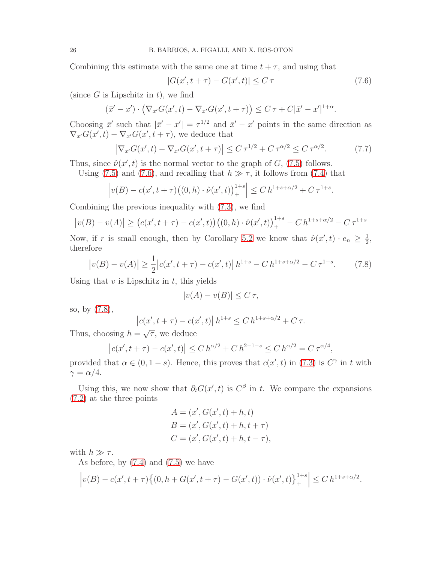Combining this estimate with the same one at time  $t + \tau$ , and using that

<span id="page-25-0"></span>
$$
|G(x', t + \tau) - G(x', t)| \le C \tau \tag{7.6}
$$

(since  $G$  is Lipschitz in  $t$ ), we find

$$
(\bar{x}' - x') \cdot \left(\nabla_{x'} G(x', t) - \nabla_{x'} G(x', t + \tau)\right) \leq C \tau + C|\bar{x}' - x'|^{1+\alpha}.
$$

Choosing  $\bar{x}'$  such that  $|\bar{x}' - x'| = \tau^{1/2}$  and  $\bar{x}' - x'$  points in the same direction as  $\nabla_{x'}G(x',t) - \nabla_{x'}G(x',t+\tau)$ , we deduce that

<span id="page-25-2"></span>
$$
\left| \nabla_{x'} G(x', t) - \nabla_{x'} G(x', t + \tau) \right| \le C \tau^{1/2} + C \tau^{\alpha/2} \le C \tau^{\alpha/2}.
$$
 (7.7)

Thus, since  $\hat{\nu}(x',t)$  is the normal vector to the graph of  $G$ , [\(7.5\)](#page-24-3) follows.

Using [\(7.5\)](#page-24-3) and [\(7.6\)](#page-25-0), and recalling that  $h \gg \tau$ , it follows from [\(7.4\)](#page-24-4) that

$$
\left| v(B) - c(x', t + \tau) \big( (0, h) \cdot \hat{\nu}(x', t) \big)_{+}^{1+s} \right| \le C h^{1+s+\alpha/2} + C \tau^{1+s}.
$$

Combining the previous inequality with [\(7.3\)](#page-24-5), we find

$$
|v(B) - v(A)| \ge (c(x', t + \tau) - c(x', t))((0, h) \cdot \hat{\nu}(x', t))_{+}^{1+s} - C h^{1+s+\alpha/2} - C \tau^{1+s}
$$

Now, if r is small enough, then by Corollary [5.2](#page-13-8) we know that  $\hat{\nu}(x',t) \cdot e_n \geq \frac{1}{2}$  $\frac{1}{2}$ , therefore

<span id="page-25-1"></span>
$$
\left| v(B) - v(A) \right| \ge \frac{1}{2} \left| c(x', t + \tau) - c(x', t) \right| h^{1+s} - C h^{1+s+\alpha/2} - C \tau^{1+s}.
$$
 (7.8)

Using that  $v$  is Lipschitz in  $t$ , this yields

$$
|v(A) - v(B)| \le C \,\tau,
$$

so, by [\(7.8\)](#page-25-1),

$$
|c(x', t + \tau) - c(x', t)| h^{1+s} \le C h^{1+s+\alpha/2} + C \tau.
$$

Thus, choosing  $h = \sqrt{\tau}$ , we deduce

$$
|c(x', t + \tau) - c(x', t)| \le C h^{\alpha/2} + C h^{2-1-s} \le C h^{\alpha/2} = C \tau^{\alpha/4},
$$

provided that  $\alpha \in (0, 1-s)$ . Hence, this proves that  $c(x', t)$  in [\(7.3\)](#page-24-5) is  $C^{\gamma}$  in t with  $\gamma = \alpha/4.$ 

Using this, we now show that  $\partial_t G(x', t)$  is  $C^{\beta}$  in t. We compare the expansions [\(7.2\)](#page-24-2) at the three points

$$
A = (x', G(x', t) + h, t)
$$
  
\n
$$
B = (x', G(x', t) + h, t + \tau)
$$
  
\n
$$
C = (x', G(x', t) + h, t - \tau),
$$

with  $h \gg \tau$ .

As before, by  $(7.4)$  and  $(7.5)$  we have

$$
\left| v(B) - c(x', t + \tau) \left\{ (0, h + G(x', t + \tau) - G(x', t)) \cdot \hat{\nu}(x', t) \right\}_+^{1+s} \right| \le C h^{1+s+\alpha/2}.
$$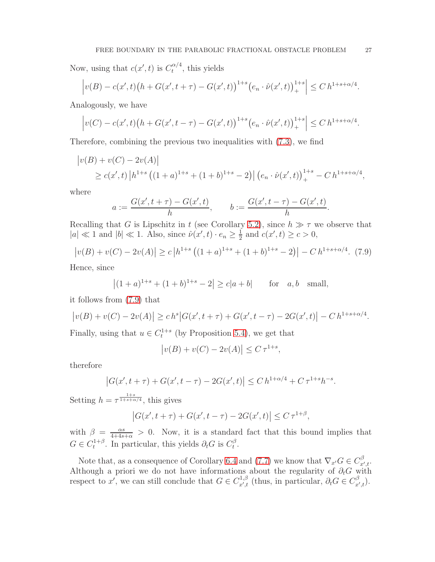Now, using that  $c(x', t)$  is  $C_t^{\alpha/4}$  $t^{\alpha/4}$ , this yields

$$
\left| v(B) - c(x',t) \left( h + G(x',t+\tau) - G(x',t) \right) ^{1+s} \left( e_n \cdot \hat{\nu}(x',t) \right)_{+}^{1+s} \right| \leq C \, h^{1+s+\alpha/4}.
$$

Analogously, we have

$$
\left| v(C) - c(x',t) \big( h + G(x',t-\tau) - G(x',t) \big)^{1+s} \big( e_n \cdot \hat{\nu}(x',t) \big)_+^{1+s} \right| \le C \, h^{1+s+\alpha/4}.
$$

Therefore, combining the previous two inequalities with [\(7.3\)](#page-24-5), we find

$$
\begin{aligned} \left| v(B) + v(C) - 2v(A) \right| \\ &\ge c(x',t) \left| h^{1+s} \left( (1+a)^{1+s} + (1+b)^{1+s} - 2 \right) \right| \left( e_n \cdot \hat{\nu}(x',t) \right)_+^{1+s} - C \, h^{1+s+\alpha/4}, \end{aligned}
$$

where

$$
a := \frac{G(x', t + \tau) - G(x', t)}{h}, \qquad b := \frac{G(x', t - \tau) - G(x', t)}{h}.
$$

Recalling that G is Lipschitz in t (see Corollary [5.2\)](#page-13-8), since  $h \gg \tau$  we observe that  $|a| \ll 1$  and  $|b| \ll 1$ . Also, since  $\hat{\nu}(x', t) \cdot e_n \ge \frac{1}{2}$  $\frac{1}{2}$  and  $c(x', t) \ge c > 0$ ,

<span id="page-26-0"></span>
$$
\left| v(B) + v(C) - 2v(A) \right| \ge c \left| h^{1+s} \left( (1+a)^{1+s} + (1+b)^{1+s} - 2 \right) \right| - C \, h^{1+s+\alpha/4}.\tag{7.9}
$$

Hence, since

$$
|(1+a)^{1+s} + (1+b)^{1+s} - 2| \ge c|a+b|
$$
 for  $a, b$  small,

it follows from [\(7.9\)](#page-26-0) that

$$
|v(B) + v(C) - 2v(A)| \ge ch^s |G(x', t + \tau) + G(x', t - \tau) - 2G(x', t)| - Ch^{1+s+\alpha/4}.
$$

Finally, using that  $u \in C_t^{1+s}$  (by Proposition [5.4\)](#page-17-3), we get that

$$
|v(B) + v(C) - 2v(A)| \le C \,\tau^{1+s},
$$

therefore

$$
|G(x', t + \tau) + G(x', t - \tau) - 2G(x', t)| \le C h^{1 + \alpha/4} + C \tau^{1 + s} h^{-s}.
$$

Setting  $h = \tau^{\frac{1+s}{1+s+\alpha/4}}$ , this gives

$$
|G(x', t + \tau) + G(x', t - \tau) - 2G(x', t)| \le C \tau^{1+\beta},
$$

with  $\beta = \frac{\alpha s}{4+4s+\alpha} > 0$ . Now, it is a standard fact that this bound implies that  $G \in C_t^{1+\beta}$  $t_t^{1+\beta}$ . In particular, this yields  $\partial_t G$  is  $C_t^{\beta}$  $t^{\beta}$ .

Note that, as a consequence of Corollary [6.4](#page-22-1) and [\(7.7\)](#page-25-2) we know that  $\nabla_{x'} G \in C_{x',t}^{\beta}$ . Although a priori we do not have informations about the regularity of  $\partial_t G$  with respect to x', we can still conclude that  $G \in C_{x',t}^{1,\beta}$  (thus, in particular,  $\partial_t G \in C_{x',t}^{\beta}$ ).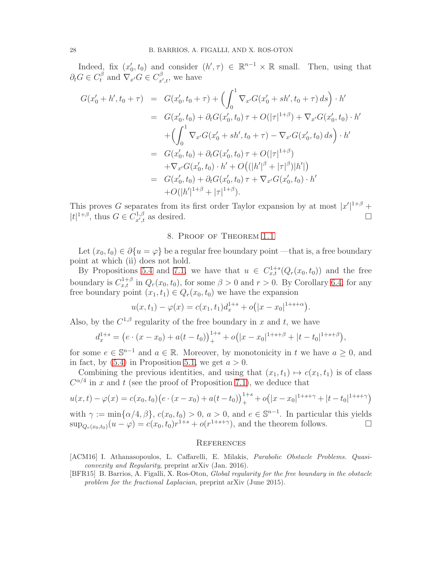Indeed, fix  $(x'_0, t_0)$  and consider  $(h', \tau) \in \mathbb{R}^{n-1} \times \mathbb{R}$  small. Then, using that  $\partial_t G \in C_t^{\beta}$  and  $\nabla_{x'} G \in C_{x',t}^{\beta}$ , we have

$$
G(x'_{0} + h', t_{0} + \tau) = G(x'_{0}, t_{0} + \tau) + \left(\int_{0}^{1} \nabla_{x'} G(x'_{0} + sh', t_{0} + \tau) ds\right) \cdot h'
$$
  
\n
$$
= G(x'_{0}, t_{0}) + \partial_{t} G(x'_{0}, t_{0}) \tau + O(|\tau|^{1+\beta}) + \nabla_{x'} G(x'_{0}, t_{0}) \cdot h'
$$
  
\n
$$
+ \left(\int_{0}^{1} \nabla_{x'} G(x'_{0} + sh', t_{0} + \tau) - \nabla_{x'} G(x'_{0}, t_{0}) ds\right) \cdot h'
$$
  
\n
$$
= G(x'_{0}, t_{0}) + \partial_{t} G(x'_{0}, t_{0}) \tau + O(|\tau|^{1+\beta})
$$
  
\n
$$
+ \nabla_{x'} G(x'_{0}, t_{0}) \cdot h' + O((|h'|^{\beta} + |\tau|^{\beta})|h'|)
$$
  
\n
$$
= G(x'_{0}, t_{0}) + \partial_{t} G(x'_{0}, t_{0}) \tau + \nabla_{x'} G(x'_{0}, t_{0}) \cdot h'
$$
  
\n
$$
+ O(|h'|^{1+\beta} + |\tau|^{1+\beta}).
$$

<span id="page-27-2"></span>This proves G separates from its first order Taylor expansion by at most  $|x'|^{1+\beta}$  +  $|t|^{1+\beta}$ , thus  $G \in C_{x',t}^{1,\beta}$  as desired.

#### 8. Proof of Theorem [1.1](#page-2-1)

Let  $(x_0, t_0) \in \partial \{u = \varphi\}$  be a regular free boundary point —that is, a free boundary point at which (ii) does not hold.

By Propositions [5.4](#page-17-3) and [7.1,](#page-24-6) we have that  $u \in C_{x,t}^{1+s}(Q_r(x_0,t_0))$  and the free boundary is  $C_{x,t}^{1+\beta}$  in  $Q_r(x_0,t_0)$ , for some  $\beta > 0$  and  $r > 0$ . By Corollary [6.4,](#page-22-1) for any free boundary point  $(x_1, t_1) \in Q_r(x_0, t_0)$  we have the expansion

$$
u(x,t_1) - \varphi(x) = c(x_1,t_1)d_x^{1+s} + o(|x-x_0|^{1+s+\alpha}).
$$

Also, by the  $C^{1,\beta}$  regularity of the free boundary in x and t, we have

$$
d_x^{1+s} = (e \cdot (x - x_0) + a(t - t_0))_{+}^{1+s} + o(|x - x_0|^{1+s+\beta} + |t - t_0|^{1+s+\beta}),
$$

for some  $e \in \mathbb{S}^{n-1}$  and  $a \in \mathbb{R}$ . Moreover, by monotonicity in t we have  $a \geq 0$ , and in fact, by  $(5.4)$  in Proposition [5.1,](#page-13-1) we get  $a > 0$ .

Combining the previous identities, and using that  $(x_1, t_1) \mapsto c(x_1, t_1)$  is of class  $C^{\alpha/4}$  in x and t (see the proof of Proposition [7.1\)](#page-24-6), we deduce that

$$
u(x,t) - \varphi(x) = c(x_0, t_0) \left( e \cdot (x - x_0) + a(t - t_0) \right)_{+}^{1+s} + o(|x - x_0|^{1+s+\gamma} + |t - t_0|^{1+s+\gamma} \right)
$$

with  $\gamma := \min\{\alpha/4, \beta\}, c(x_0, t_0) > 0, a > 0, \text{ and } e \in \mathbb{S}^{n-1}$ . In particular this yields  $\sup_{Q_r(x_0,t_0)} (u - \varphi) = c(x_0,t_0) r^{1+s} + o(r^{1+s+\gamma})$ , and the theorem follows.

#### **REFERENCES**

- <span id="page-27-1"></span>[ACM16] I. Athanasopoulos, L. Caffarelli, E. Milakis, Parabolic Obstacle Problems. Quasiconvexity and Regularity, preprint arXiv (Jan. 2016).
- <span id="page-27-0"></span>[BFR15] B. Barrios, A. Figalli, X. Ros-Oton, Global regularity for the free boundary in the obstacle problem for the fractional Laplacian, preprint arXiv (June 2015).